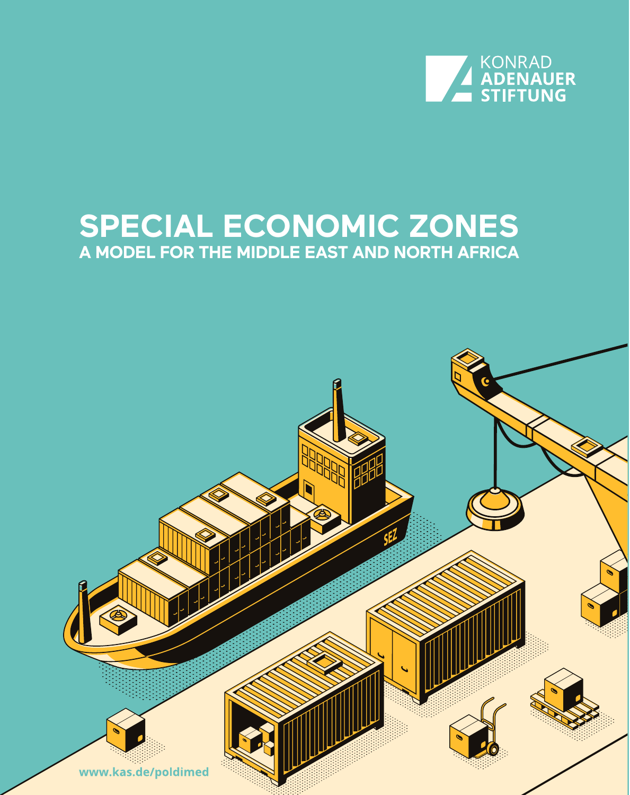

### **SPECIAL ECONOMIC ZONES A MODEL FOR THE MIDDLE EAST AND NORTH AFRICA**

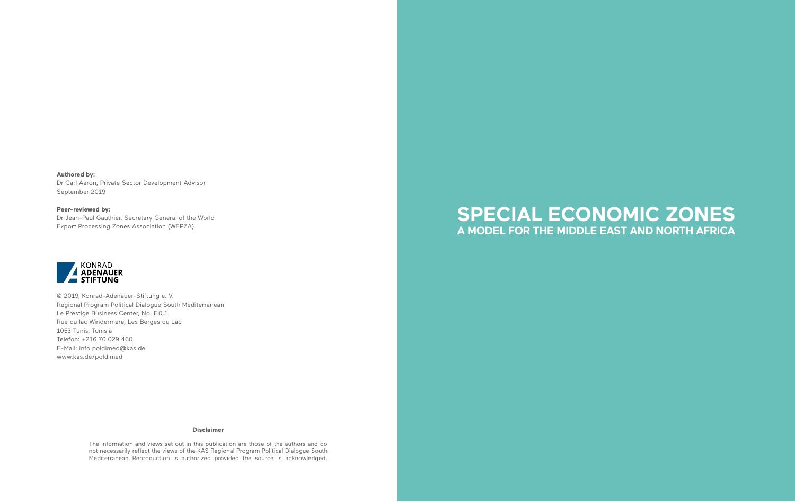**Authored by:**  Dr Carl Aaron, Private Sector Development Advisor September 2019

### **Peer-reviewed by:**

Dr Jean-Paul Gauthier, Secretary General of the World Export Processing Zones Association (WEPZA)



© 2019, Konrad-Adenauer-Stiftung e. V. Regional Program Political Dialogue South Mediterranean Le Prestige Business Center, No. F.0.1 Rue du lac Windermere, Les Berges du Lac 1053 Tunis, Tunisia Telefon: +216 70 029 460 E-Mail: info.poldimed@kas.de www.kas.de/poldimed

#### **Disclaimer**

The information and views set out in this publication are those of the authors and do not necessarily reflect the views of the KAS Regional Program Political Dialogue South Mediterranean. Reproduction is authorized provided the source is acknowledged.

### **SPECIAL ECONOMIC ZONES A MODEL FOR THE MIDDLE EAST AND NORTH AFRICA**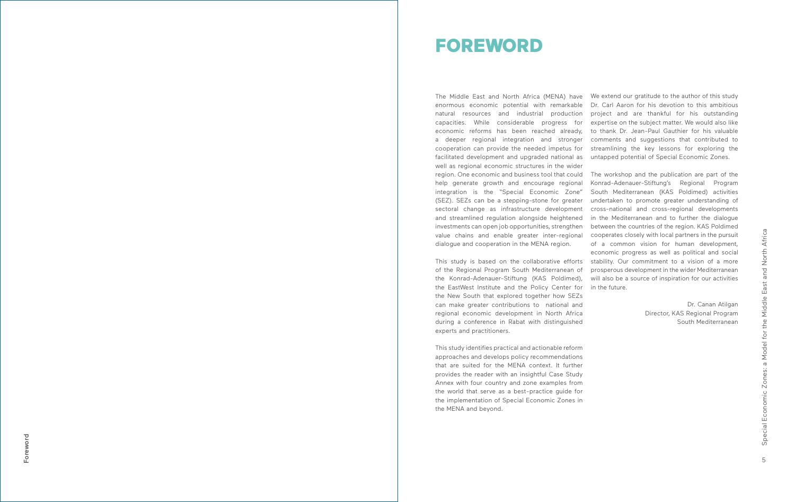The Middle East and North Africa (MENA) have We extend our gratitude to the author of this study enormous economic potential with remarkable natural resources and industrial production capacities. While considerable progress for economic reforms has been reached already, a deeper regional integration and stronger cooperation can provide the needed impetus for facilitated development and upgraded national as well as regional economic structures in the wider

region. One economic and business tool that could help generate growth and encourage regional integration is the "Special Economic Zone" (SEZ). SEZs can be a stepping-stone for greater sectoral change as infrastructure development and streamlined regulation alongside heightened investments can open job opportunities, strengthen value chains and enable greater inter-regional dialogue and cooperation in the MENA region.

This study is based on the collaborative efforts of the Regional Program South Mediterranean of the Konrad-Adenauer-Stiftung (KAS Poldimed), the EastWest Institute and the Policy Center for the New South that explored together how SEZs can make greater contributions to national and regional economic development in North Africa during a conference in Rabat with distinguished experts and practitioners.

This study identifies practical and actionable reform approaches and develops policy recommendations that are suited for the MENA context. It further provides the reader with an insightful Case Study Annex with four country and zone examples from the world that serve as a best-practice guide for the implementation of Special Economic Zones in the MENA and beyond.

Dr. Carl Aaron for his devotion to this ambitious project and are thankful for his outstanding expertise on the subject matter. We would also like to thank Dr. Jean-Paul Gauthier for his valuable comments and suggestions that contributed to streamlining the key lessons for exploring the untapped potential of Special Economic Zones.

The workshop and the publication are part of the Konrad-Adenauer-Stiftung's Regional Program South Mediterranean (KAS Poldimed) activities undertaken to promote greater understanding of cross-national and cross-regional developments in the Mediterranean and to further the dialogue between the countries of the region. KAS Poldimed cooperates closely with local partners in the pursuit of a common vision for human development, economic progress as well as political and social stability. Our commitment to a vision of a more prosperous development in the wider Mediterranean will also be a source of inspiration for our activities in the future.

> Dr. Canan Atilgan Director, KAS Regional Program South Mediterranean

Foreword

Foreword

### FOREWORD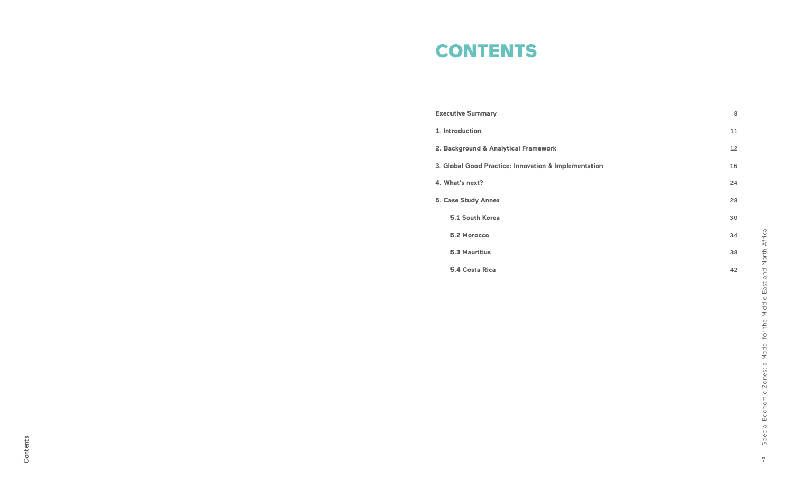# **CONTENTS**

**Executive Summary**

**1. Introduction**

**2. Background & Analytical Framework** 

**3. Global Good Practice: Innovation & Implementation** 

Special Economic Zones: a Model for the Middle East and North Africa Special Economic Zones: a Model for the Middle East and North Africa

**4. What's next?** 

**5. Case Study Annex** 

 **5.1 South Korea** 

 **5.2 Morocco** 

 **5.3 Mauritius** 

 **5.4 Costa Rica**

| 8  |
|----|
| 11 |
| 12 |
| 16 |
| 24 |
| 28 |
| 30 |
| 34 |
| 38 |
| 42 |
|    |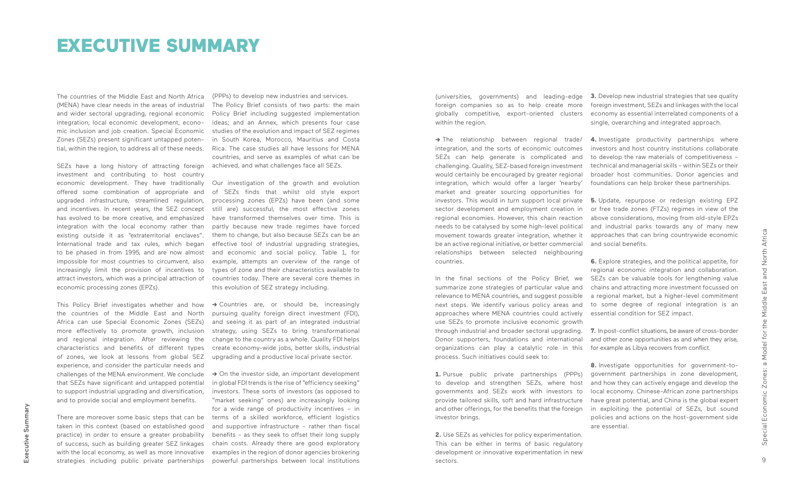The countries of the Middle East and North Africa (MENA) have clear needs in the areas of industrial and wider sectoral upgrading, regional economic integration, local economic development, economic inclusion and job creation. Special Economic Zones (SEZs) present significant untapped potential, within the region, to address all of these needs.

SEZs have a long history of attracting foreign achieved, and what challenges face all SEZs. investment and contributing to host country economic development. They have traditionally offered some combination of appropriate and upgraded infrastructure, streamlined regulation, and incentives. In recent years, the SEZ concept has evolved to be more creative, and emphasized integration with the local economy rather than existing outside it as "extraterritorial enclaves". International trade and tax rules, which began to be phased in from 1995, and are now almost impossible for most countries to circumvent, also increasingly limit the provision of incentives to attract investors, which was a principal attraction of economic processing zones (EPZs).

This Policy Brief investigates whether and how the countries of the Middle East and North Africa can use Special Economic Zones (SEZs) more effectively to promote growth, inclusion and regional integration. After reviewing the characteristics and benefits of different types of zones, we look at lessons from global SEZ experience, and consider the particular needs and challenges of the MENA environment. We conclude that SEZs have significant and untapped potential to support industrial upgrading and diversification, and to provide social and employment benefits.

→ Countries are, or should be, increasingly pursuing quality foreign direct investment (FDI), and seeing it as part of an integrated industrial strategy, using SEZs to bring transformational change to the country as a whole. Quality FDI helps create economy-wide jobs, better skills, industrial upgrading and a productive local private sector.

There are moreover some basic steps that can be taken in this context (based on established good practice) in order to ensure a greater probability of success, such as building greater SEZ linkages with the local economy, as well as more innovative strategies including public private partnerships

→ On the investor side, an important development in global FDI trends is the rise of "efficiency seeking" investors. These sorts of investors (as opposed to "market seeking" ones) are increasingly looking for a wide range of productivity incentives – in terms of a skilled workforce, efficient logistics and supportive infrastructure – rather than fiscal benefits – as they seek to offset their long supply chain costs. Already there are good exploratory examples in the region of donor agencies brokering powerful partnerships between local institutions

(PPPs) to develop new industries and services. The Policy Brief consists of two parts: the main Policy Brief including suggested implementation ideas; and an Annex, which presents four case studies of the evolution and impact of SEZ regimes in South Korea, Morocco, Mauritius and Costa Rica. The case studies all have lessons for MENA countries, and serve as examples of what can be

Our investigation of the growth and evolution of SEZs finds that whilst old style export processing zones (EPZs) have been (and some still are) successful, the most effective zones have transformed themselves over time. This is partly because new trade regimes have forced them to change, but also because SEZs can be an effective tool of industrial upgrading strategies, and economic and social policy. Table 1, for example, attempts an overview of the range of types of zone and their characteristics available to countries today. There are several core themes in this evolution of SEZ strategy including.

### EXECUTIVE SUMMARY

**->** The relationship between regional trade/ integration, and the sorts of economic outcomes SEZs can help generate is complicated and challenging. Quality, SEZ-based foreign investment would certainly be encouraged by greater regional integration, which would offer a larger 'nearby' market and greater sourcing opportunities for investors. This would in turn support local private sector development and employment creation in regional economies. However, this chain reaction needs to be catalysed by some high-level political movement towards greater integration, whether it be an active regional initiative, or better commercial relationships between selected neighbouring countries.

(universities, governments) and leading-edge **3.** Develop new industrial strategies that see quality foreign companies so as to help create more globally competitive, export-oriented clusters within the region. foreign investment, SEZs and linkages with the local economy as essential interrelated components of a single, overarching and integrated approach.

In the final sections of the Policy Brief, we summarize zone strategies of particular value and relevance to MENA countries, and suggest possible next steps. We identify various policy areas and approaches where MENA countries could actively use SEZs to promote inclusive economic growth through industrial and broader sectoral upgrading. Donor supporters, foundations and international organizations can play a catalytic role in this process. Such initiatives could seek to:

**1.** Pursue public private partnerships (PPPs) to develop and strengthen SEZs, where host governments and SEZs work with investors to provide tailored skills, soft and hard infrastructure and other offerings, for the benefits that the foreign investor brings.

**2.** Use SEZs as vehicles for policy experimentation. This can be either in terms of basic regulatory development or innovative experimentation in new sectors.

**4.** Investigate productivity partnerships where investors and host country institutions collaborate to develop the raw materials of competitiveness – technical and managerial skills – within SEZs or their broader host communities. Donor agencies and foundations can help broker these partnerships.

**5.** Update, repurpose or redesign existing EPZ or free trade zones (FTZs) regimes in view of the above considerations, moving from old-style EPZs and industrial parks towards any of many new approaches that can bring countrywide economic and social benefits.

**6.** Explore strategies, and the political appetite, for regional economic integration and collaboration. SEZs can be valuable tools for lengthening value chains and attracting more investment focussed on a regional market, but a higher-level commitment to some degree of regional integration is an essential condition for SEZ impact.

**7.** In post-conflict situations, be aware of cross-border and other zone opportunities as and when they arise, for example as Libya recovers from conflict.

**8.** Investigate opportunities for government-togovernment partnerships in zone development, and how they can actively engage and develop the local economy. Chinese-African zone partnerships have great potential, and China is the global expert in exploiting the potential of SEZs, but sound policies and actions on the host-government side are essential.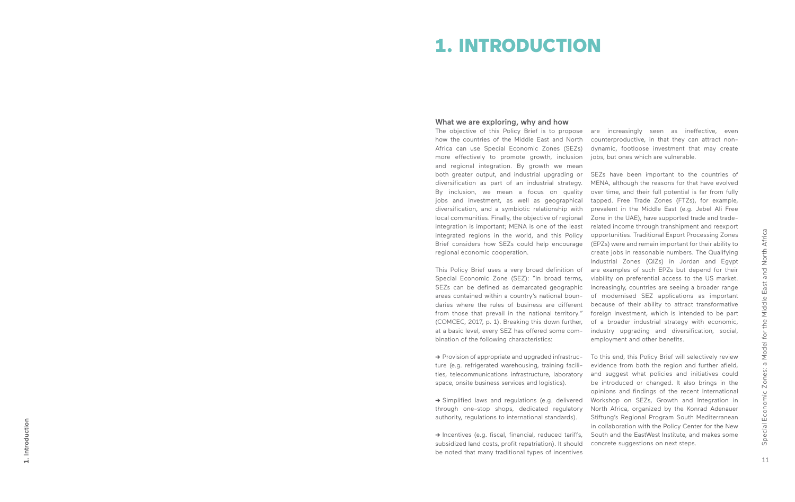1. Introduction 1. Introduction

### What we are exploring, why and how

The objective of this Policy Brief is to propose are increasingly seen as ineffective, even how the countries of the Middle East and North Africa can use Special Economic Zones (SEZs) more effectively to promote growth, inclusion and regional integration. By growth we mean both greater output, and industrial upgrading or diversification as part of an industrial strategy. By inclusion, we mean a focus on quality jobs and investment, as well as geographical diversification, and a symbiotic relationship with local communities. Finally, the objective of regional integration is important; MENA is one of the least integrated regions in the world, and this Policy Brief considers how SEZs could help encourage regional economic cooperation.

**→** Provision of appropriate and upgraded infrastructure (e.g. refrigerated warehousing, training facili ties, telecommunications infrastructure, laboratory space, onsite business services and logistics).

This Policy Brief uses a very broad definition of Special Economic Zone (SEZ): "In broad terms, SEZs can be defined as demarcated geographic areas contained within a country's national boun daries where the rules of business are different because of their ability to attract transformative from those that prevail in the national territory." foreign investment, which is intended to be part (COMCEC, 2017, p. 1). Breaking this down further, at a basic level, every SEZ has offered some com bination of the following characteristics:

**->** Simplified laws and regulations (e.g. delivered through one-stop shops, dedicated regulatory authority, regulations to international standards).

**->** Incentives (e.g. fiscal, financial, reduced tariffs, subsidized land costs, profit repatriation). It should be noted that many traditional types of incentives

counterproductive, in that they can attract nondynamic, footloose investment that may create jobs, but ones which are vulnerable.

SEZs have been important to the countries of MENA, although the reasons for that have evolved over time, and their full potential is far from fully tapped. Free Trade Zones (FTZs), for example, prevalent in the Middle East (e.g. Jebel Ali Free Zone in the UAE), have supported trade and traderelated income through transhipment and reexport opportunities. Traditional Export Processing Zones (EPZs) were and remain important for their ability to create jobs in reasonable numbers. The Qualifying Industrial Zones (QIZs) in Jordan and Egypt are examples of such EPZs but depend for their viability on preferential access to the US market. Increasingly, countries are seeing a broader range of modernised SEZ applications as important of a broader industrial strategy with economic, industry upgrading and diversification, social, employment and other benefits.

To this end, this Policy Brief will selectively review evidence from both the region and further afield, and suggest what policies and initiatives could be introduced or changed. It also brings in the opinions and findings of the recent International Workshop on SEZs, Growth and Integration in North Africa, organized by the Konrad Adenauer Stiftung's Regional Program South Mediterranean in collaboration with the Policy Center for the New South and the EastWest Institute, and makes some concrete suggestions on next steps.

## 1. INTRODUCTION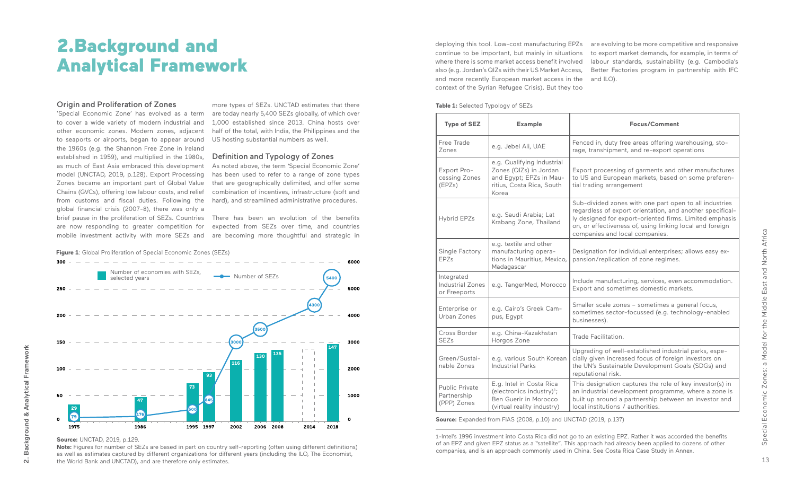'Special Economic Zone' has evolved as a term to cover a wide variety of modern industrial and other economic zones. Modern zones, adjacent to seaports or airports, began to appear around the 1960s (e.g. the Shannon Free Zone in Ireland established in 1959), and multiplied in the 1980s, as much of East Asia embraced this development model (UNCTAD, 2019, p.128). Export Processing Zones became an important part of Global Value Chains (GVCs), offering low labour costs, and relief from customs and fiscal duties. Following the global financial crisis (2007-8), there was only a mobile investment activity with more SEZs and are becoming more thoughtful and strategic in

more types of SEZs. UNCTAD estimates that there are today nearly 5,400 SEZs globally, of which over 1,000 established since 2013. China hosts over half of the total, with India, the Philippines and the US hosting substantial numbers as well.

brief pause in the proliferation of SEZs. Countries There has been an evolution of the benefits are now responding to greater competition for expected from SEZs over time, and countries

 $300 - - -$ 6000 Number of economies with SEZs, selected years 5400  $250$ 5000 43OC 4000 200 3000 150 **147 <sup>130</sup> <sup>135</sup> 116** 2000 100 **93 73** 1000 50 **47**  $\mathbf{o}$  $\Omega$ 1975 1986 1995 1997 2002 2006 2008 2014 2018

### Definition and Typology of Zones

As noted above, the term 'Special Economic Zone' has been used to refer to a range of zone types that are geographically delimited, and offer some combination of incentives, infrastructure (soft and hard), and streamlined administrative procedures.

### **Type of SEZ Example Focus/Comment**

n, duty free areas offering warehousing, stonshipment, and re-export operations

rocessing of garments and other manufactures d European markets, based on some preferenng arrangement

ded zones with one part open to all industries ss of export orientation, and another specificalled for export-oriented firms. Limited emphasis fectiveness of, using linking local and foreign es and local companies.

ion for individual enterprises; allows easy exreplication of zone regimes.

nanufacturing, services, even accommodation. nd sometimes domestic markets.

scale zones – sometimes a general focus, es sector-focussed (e.g. technology-enabled es).

g of well-established industrial parks, espeen increased focus of foreign investors on Sustainable Development Goals (SDGs) and nal risk.

ignation captures the role of key investor(s) in trial development programme, where a zone is around a partnership between an investor and litutions / authorities.

| <b>Example</b>                                                                                                         |                                                                                                       |
|------------------------------------------------------------------------------------------------------------------------|-------------------------------------------------------------------------------------------------------|
| e.g. Jebel Ali, UAE                                                                                                    | Fenced in, duty fr<br>rage, transhipmer                                                               |
| e.g. Qualifying Industrial<br>Zones (QIZs) in Jordan<br>and Egypt; EPZs in Mau-<br>ritius, Costa Rica, South<br>Korea  | Export processing<br>to US and Europe<br>tial trading arrang                                          |
| e.g. Saudi Arabia; Lat<br>Krabang Zone, Thailand                                                                       | Sub-divided zone<br>regardless of exp<br>ly designed for ex<br>on, or effectivene<br>companies and lo |
| e.g. textile and other<br>manufacturing opera-<br>tions in Mauritius, Mexico,<br>Madagascar                            | Designation for in<br>pansion/replicatio                                                              |
| e.g. TangerMed, Morocco                                                                                                | Include manufactu<br>Export and somet                                                                 |
| e.g. Cairo's Greek Cam-<br>pus, Egypt                                                                                  | Smaller scale zon<br>sometimes sector<br>businesses).                                                 |
| e.g. China-Kazakhstan<br>Horgos Zone                                                                                   | Trade Facilitation.                                                                                   |
| e.g. various South Korean<br><b>Industrial Parks</b>                                                                   | Upgrading of well<br>cially given increa<br>the UN's Sustaina<br>reputational risk.                   |
| E.g. Intel in Costa Rica<br>(electronics industry) $1$ ;<br><b>Ben Guerir in Morocco</b><br>(virtual reality industry) | This designation<br>an industrial deve<br>built up around a<br>local institutions                     |
|                                                                                                                        |                                                                                                       |

**Source:** Expanded from FIAS (2008, p.10) and UNCTAD (2019, p.137)

### **Source:** UNCTAD, 2019, p.129.

**Note:** Figures for number of SEZs are based in part on country self-reporting (often using different definitions) as well as estimates captured by different organizations for different years (including the ILO, The Economist, the World Bank and UNCTAD), and are therefore only estimates.

deploying this tool. Low-cost manufacturing EPZs continue to be important, but mainly in situations where there is some market access benefit involved also (e.g. Jordan's QIZs with their US Market Access, and more recently European market access in the context of the Syrian Refugee Crisis). But they too

#### **Table 1: Selected Typology of SEZs**

are evolving to be more competitive and responsive to export market demands, for example, in terms of labour standards, sustainability (e.g. Cambodia's Better Factories program in partnership with IFC and ILO).

1-Intel's 1996 investment into Costa Rica did not go to an existing EPZ. Rather it was accorded the benefits of an EPZ and given EPZ status as a "satellite". This approach had already been applied to dozens of other companies, and is an approach commonly used in China. See Costa Rica Case Study in Annex.

### 2.Background and Analytical Framework

### **Origin and Proliferation of Zones**

**Figure 1**: Global Proliferation of Special Economic Zones (SEZs)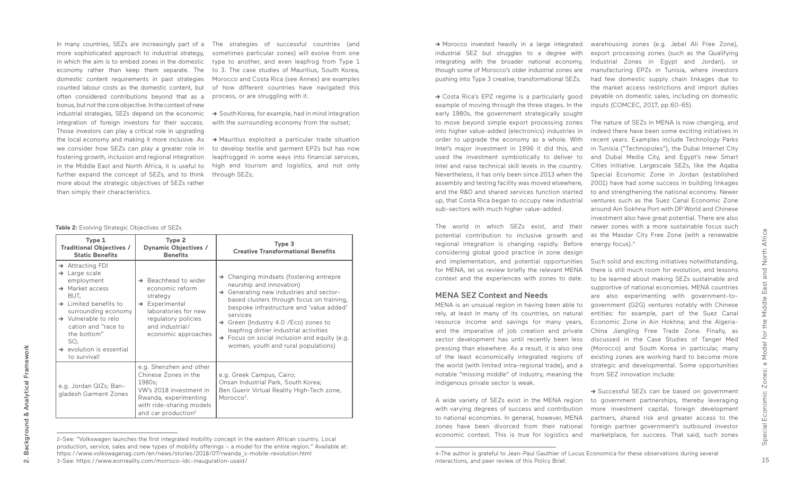more sophisticated approach to industrial strategy, in which the aim is to embed zones in the domestic economy rather than keep them separate. The often considered contributions beyond that as a process, or are struggling with it. bonus, but not the core objective. In the context of new industrial strategies, SEZs depend on the economic **->** South Korea, for example, had in mind integration integration of foreign investors for their success. Those investors can play a critical role in upgrading we consider how SEZs can play a greater role in fostering growth, inclusion and regional integration further expand the concept of SEZs, and to think more about the strategic objectives of SEZs rather than simply their characteristics.

In many countries, SEZs are increasingly part of a The strategies of successful countries (and domestic content requirements in past strategies Morocco and Costa Rica (see Annex) are examples counted labour costs as the domestic content, but of how different countries have navigated this sometimes particular zones) will evolve from one type to another, and even leapfrog from Type 1 to 3. The case studies of Mauritius, South Korea,

with the surrounding economy from the outset;

the local economy and making it more inclusive. As **->** Mauritius exploited a particular trade situation in the Middle East and North Africa, it is useful to high end tourism and logistics, and not only to develop textile and garment EPZs but has now leapfrogged in some ways into financial services, through SEZs;

**Table 2:** Evolving Strategic Objectives of SEZs

### MENA SEZ Context and Needs

MENA is an unusual region in having been able to rely, at least in many of its countries, on natural resource income and savings for many years, and the imperative of job creation and private sector development has until recently been less pressing than elsewhere. As a result, it is also one of the least economically integrated regions of the world (with limited intra-regional trade), and a notable "missing middle" of industry, meaning the from SEZ innovation include: indigenous private sector is weak.

A wide variety of SEZs exist in the MENA region with varying degrees of success and contribution to national economies. In general, however, MENA zones have been divorced from their national economic context. This is true for logistics and

→ Costa Rica's EPZ regime is a particularly good example of moving through the three stages. In the early 1980s, the government strategically sought to move beyond simple export processing zones into higher value-added (electronics) industries in order to upgrade the economy as a whole. With Intel's major investment in 1996 it did this, and used the investment symbiotically to deliver to Intel and raise technical skill levels in the country. Nevertheless, it has only been since 2013 when the assembly and testing facility was moved elsewhere, and the R&D and shared services function started up, that Costa Rica began to occupy new industrial sub-sectors with much higher value-added.

 $r$ egional integration is changing rapidly. Before  $\,$  energy focus). $^4$ The world in which SEZs exist, and their potential contribution to inclusive growth and considering global good practice in zone design and implementation, and potential opportunities for MENA, let us review briefly the relevant MENA context and the experiences with zones to date.

| Type 1<br><b>Traditional Objectives /</b><br><b>Static Benefits</b>                                                                                                                                                                                                                                                  | Type 2<br><b>Dynamic Objectives /</b><br><b>Benefits</b>                                                                                                                               | Type 3<br><b>Creative Transformational Benefits</b>                                                                                                                                                                                                                                                                                                                                                                              |
|----------------------------------------------------------------------------------------------------------------------------------------------------------------------------------------------------------------------------------------------------------------------------------------------------------------------|----------------------------------------------------------------------------------------------------------------------------------------------------------------------------------------|----------------------------------------------------------------------------------------------------------------------------------------------------------------------------------------------------------------------------------------------------------------------------------------------------------------------------------------------------------------------------------------------------------------------------------|
| $\rightarrow$ Attracting FDI<br>$\rightarrow$ Large scale<br>employment<br>$\rightarrow$ Market access<br>BUT,<br>$\rightarrow$ 1 imited benefits to<br>surrounding economy<br>$\rightarrow$ Vulnerable to relo<br>cation and "race to<br>the bottom"<br>SO,<br>$\rightarrow$ evolution is essential<br>to survival! | $\rightarrow$ Beachhead to wider<br>economic reform<br>strategy<br>$\rightarrow$ Experimental<br>laboratories for new<br>regulatory policies<br>and industrial/<br>economic approaches | $\rightarrow$ Changing mindsets (fostering entrepre<br>neurship and innovation)<br>→ Generating new industries and sector-<br>based clusters through focus on training,<br>bespoke infrastructure and 'value added'<br>services<br>$\rightarrow$ Green (Industry 4.0 /Eco) zones to<br>leapfrog dirtier industrial activities<br>$\rightarrow$ Focus on social inclusion and equity (e.g.<br>women, youth and rural populations) |
| e.g. Jordan QIZs; Ban-<br>gladesh Garment Zones                                                                                                                                                                                                                                                                      | e.g. Shenzhen and other<br>Chinese Zones in the<br>1980s;<br>VW's 2018 investment in<br>Rwanda, experimenting<br>with ride-sharing models<br>and car production <sup>2</sup>           | e.g. Greek Campus, Cairo;<br>Onsan Industrial Park, South Korea;<br>Ben Guerir Virtual Reality High-Tech zone,<br>Morocco <sup>3</sup> .                                                                                                                                                                                                                                                                                         |

This is true for logistics and marketplace, for success. That said, such zones 2-See: "Volkswagen launches the first integrated mobility concept in the eastern African country. Local production, service, sales and new types of mobility offerings – a model for the entire region." Available at: https://www.volkswagenag.com/en/news/stories/2018/07/rwanda\_s-mobile-revolution.html 3-See: https://www.eonreality.com/morroco-idc-inauguration-usaid/

warehousing zones (e.g. Jebel Ali Free Zone), export processing zones (such as the Qualifying Industrial Zones in Egypt and Jordan), or manufacturing EPZs in Tunisia, where investors had few domestic supply chain linkages due to the market access restrictions and import duties payable on domestic sales, including on domestic inputs (COMCEC, 2017, pp.60-65).

The nature of SEZs in MENA is now changing, and indeed there have been some exciting initiatives in recent years. Examples include Technology Parks in Tunisia ("Technopoles"), the Dubai Internet City and Dubai Media City, and Egypt's new Smart Cities initiative. Largescale SEZs, like the Aqaba Special Economic Zone in Jordan (established 2001) have had some success in building linkages to and strengthening the national economy. Newer ventures such as the Suez Canal Economic Zone around Ain Sokhna Port with DP World and Chinese investment also have great potential. There are also newer zones with a more sustainable focus such as the Masdar City Free Zone (with a renewable

Such solid and exciting initiatives notwithstanding, there is still much room for evolution, and lessons to be learned about making SEZs sustainable and supportive of national economies. MENA countries are also experimenting with government-togovernment (G2G) ventures notably with Chinese entities: for example, part of the Suez Canal Economic Zone in Ain Hokhna; and the Algeria-China Jiangling Free Trade Zone. Finally, as discussed in the Case Studies of Tanger Med (Morocco) and South Korea in particular, many existing zones are working hard to become more strategic and developmental. Some opportunities

**->** Successful SEZs can be based on government to government partnerships, thereby leveraging more investment capital, foreign development partners, shared risk and greater access to the foreign partner government's outbound investor

**->** Morocco invested heavily in a large integrated industrial SEZ but struggles to a degree with integrating with the broader national economy, though some of Morocco's older industrial zones are pushing into Type 3 creative, transformational SEZs.

<sup>4-</sup>The author is grateful to Jean-Paul Gauthier of Locus Economica for these observations during several interactions, and peer review of this Policy Brief.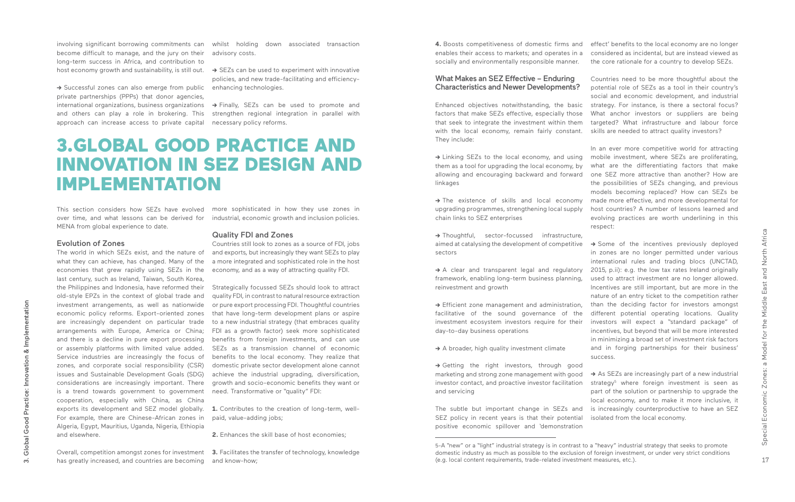This section considers how SEZs have evolved more sophisticated in how they use zones in over time, and what lessons can be derived for MENA from global experience to date.

### Evolution of Zones

The world in which SEZs exist, and the nature of what they can achieve, has changed. Many of the economies that grew rapidly using SEZs in the economy, and as a way of attracting quality FDI. last century, such as Ireland, Taiwan, South Korea, the Philippines and Indonesia, have reformed their old-style EPZs in the context of global trade and investment arrangements, as well as nationwide economic policy reforms. Export-oriented zones are increasingly dependent on particular trade arrangements with Europe, America or China; and there is a decline in pure export processing or assembly platforms with limited value added. Service industries are increasingly the focus of zones, and corporate social responsibility (CSR) issues and Sustainable Development Goals (SDG) considerations are increasingly important. There is a trend towards government to government cooperation, especially with China, as China exports its development and SEZ model globally. **1.** Contributes to the creation of long-term, well-For example, there are Chinese-African zones in Algeria, Egypt, Mauritius, Uganda, Nigeria, Ethiopia and elsewhere.

**4.** Boosts competitiveness of domestic firms and enables their access to markets; and operates in a socially and environmentally responsible manner.

### What Makes an SEZ Effective – Enduring Characteristics and Newer Developments?

Enhanced objectives notwithstanding, the basic factors that make SEZs effective, especially those that seek to integrate the investment within them with the local economy, remain fairly constant. They include:

**->** Linking SEZs to the local economy, and using them as a tool for upgrading the local economy, by allowing and encouraging backward and forward linkages

**->** The existence of skills and local economy upgrading programmes, strengthening local supply chain links to SEZ enterprises

**->** Thoughtful, sector-focussed infrastructure, aimed at catalysing the development of competitive sectors

**->** A clear and transparent legal and regulatory framework, enabling long-term business planning, reinvestment and growth

**->** Efficient zone management and administration, facilitative of the sound governance of the investment ecosystem investors require for their day-to-day business operations

**->** A broader, high quality investment climate

**->** Getting the right investors, through good marketing and strong zone management with good investor contact, and proactive investor facilitation and servicing

Overall, competition amongst zones for investment **3.** Facilitates the transfer of technology, knowledge

has greatly increased, and countries are becoming and know-how;

The subtle but important change in SEZs and SEZ policy in recent years is that their potential positive economic spillover and 'demonstration

→ Some of the incentives previously deployed in zones are no longer permitted under various international rules and trading blocs (UNCTAD, 2015, p.ii): e.g. the low tax rates Ireland originally used to attract investment are no longer allowed. Incentives are still important, but are more in the nature of an entry ticket to the competition rather than the deciding factor for investors amongst different potential operating locations. Quality investors will expect a "standard package" of incentives, but beyond that will be more interested in minimizing a broad set of investment risk factors and in forging partnerships for their business' success.

industrial, economic growth and inclusion policies.

### Quality FDI and Zones

→ As SEZs are increasingly part of a new industrial strategy<sup>5</sup> where foreign investment is seen as part of the solution or partnership to upgrade the local economy, and to make it more inclusive, it is increasingly counterproductive to have an SEZ isolated from the local economy.

Countries still look to zones as a source of FDI, jobs and exports, but increasingly they want SEZs to play a more integrated and sophisticated role in the host

→ Successful zones can also emerge from public private partnerships (PPPs) that donor agencies, and others can play a role in brokering. This approach can increase access to private capital

> Strategically focussed SEZs should look to attract quality FDI, in contrast to natural resource extraction or pure export processing FDI. Thoughtful countries that have long-term development plans or aspire to a new industrial strategy (that embraces quality FDI as a growth factor) seek more sophisticated benefits from foreign investments, and can use SEZs as a transmission channel of economic benefits to the local economy. They realize that domestic private sector development alone cannot achieve the industrial upgrading, diversification, growth and socio-economic benefits they want or need. Transformative or "quality" FDI:

paid, value-adding jobs;

**2.** Enhances the skill base of host economies;

effect' benefits to the local economy are no longer considered as incidental, but are instead viewed as the core rationale for a country to develop SEZs.

Countries need to be more thoughtful about the potential role of SEZs as a tool in their country's social and economic development, and industrial strategy. For instance, is there a sectoral focus? What anchor investors or suppliers are being targeted? What infrastructure and labour force skills are needed to attract quality investors?

In an ever more competitive world for attracting mobile investment, where SEZs are proliferating, what are the differentiating factors that make one SEZ more attractive than another? How are the possibilities of SEZs changing, and previous models becoming replaced? How can SEZs be made more effective, and more developmental for host countries? A number of lessons learned and evolving practices are worth underlining in this respect:

### 3.GLOBAL GOOD PRACTICE AND INNOVATION IN SEZ DESIGN AND IMPLEMENTATION

become difficult to manage, and the jury on their advisory costs. long-term success in Africa, and contribution to

involving significant borrowing commitments can whilst holding down associated transaction

host economy growth and sustainability, is still out. **->** SEZs can be used to experiment with innovative policies, and new trade-facilitating and efficiencyenhancing technologies.

international organizations, business organizations **->** Finally, SEZs can be used to promote and strengthen regional integration in parallel with necessary policy reforms.

<sup>5-</sup>A "new" or a "light" industrial strategy is in contrast to a "heavy" industrial strategy that seeks to promote domestic industry as much as possible to the exclusion of foreign investment, or under very strict conditions (e.g. local content requirements, trade-related investment measures, etc.).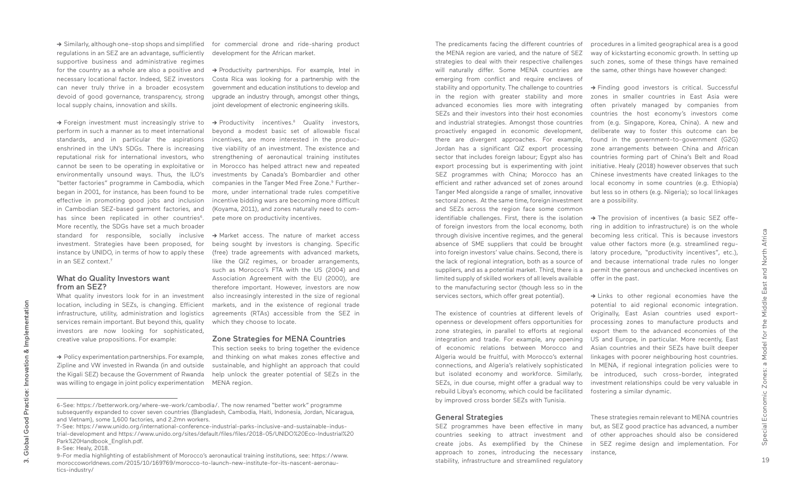**->** Similarly, although one-stop shops and simplified regulations in an SEZ are an advantage, sufficiently supportive business and administrative regimes for the country as a whole are also a positive and **->** Productivity partnerships. For example, Intel in necessary locational factor. Indeed, SEZ investors can never truly thrive in a broader ecosystem devoid of good governance, transparency, strong local supply chains, innovation and skills.

perform in such a manner as to meet international standards, and in particular the aspirations enshrined in the UN's SDGs. There is increasing reputational risk for international investors, who cannot be seen to be operating in exploitative or environmentally unsound ways. Thus, the ILO's "better factories" programme in Cambodia, which began in 2001, for instance, has been found to be effective in promoting good jobs and inclusion in Cambodian SEZ-based garment factories, and has since been replicated in other countries<sup>6</sup>. More recently, the SDGs have set a much broader standard for responsible, socially inclusive investment. Strategies have been proposed, for instance by UNIDO, in terms of how to apply these in an SEZ context.7

### What do Quality Investors want from an SEZ?

What quality investors look for in an investment location, including in SEZs, is changing. Efficient infrastructure, utility, administration and logistics services remain important. But beyond this, quality investors are now looking for sophisticated, creative value propositions. For example:

**→** Foreign investment must increasingly strive to → Productivity incentives.<sup>8</sup> Quality investors, beyond a modest basic set of allowable fiscal incentives, are more interested in the productive viability of an investment. The existence and strengthening of aeronautical training institutes in Morocco has helped attract new and repeated investments by Canada's Bombardier and other companies in the Tanger Med Free Zone.<sup>9</sup> Furthermore, under international trade rules competitive incentive bidding wars are becoming more difficult (Koyama, 2011), and zones naturally need to compete more on productivity incentives.

the MENA region are varied, and the nature of SEZ strategies to deal with their respective challenges will naturally differ. Some MENA countries are the same, other things have however changed: emerging from conflict and require enclaves of stability and opportunity. The challenge to countries **->** Finding good investors is critical. Successful in the region with greater stability and more advanced economies lies more with integrating SEZs and their investors into their host economies and industrial strategies. Amongst those countries proactively engaged in economic development, there are divergent approaches. For example, Jordan has a significant QIZ export processing sector that includes foreign labour; Egypt also has export processing but is experimenting with joint SEZ programmes with China; Morocco has an efficient and rather advanced set of zones around Tanger Med alongside a range of smaller, innovative sectoral zones. At the same time, foreign investment and SEZs across the region face some common identifiable challenges. First, there is the isolation of foreign investors from the local economy, both through divisive incentive regimes, and the general absence of SME suppliers that could be brought into foreign investors' value chains. Second, there is the lack of regional integration, both as a source of suppliers, and as a potential market. Third, there is a limited supply of skilled workers of all levels available to the manufacturing sector (though less so in the

services sectors, which offer great potential).

→ The provision of incentives (a basic SEZ offering in addition to infrastructure) is on the whole becoming less critical. This is because investors value other factors more (e.g. streamlined regulatory procedure, "productivity incentives", etc.), and because international trade rules no longer permit the generous and unchecked incentives on offer in the past. **->** Links to other regional economies have the potential to aid regional economic integration.

The existence of countries at different levels of openness or development offers opportunities for zone strategies, in parallel to efforts at regional integration and trade. For example, any opening of economic relations between Morocco and Algeria would be fruitful, with Morocco's external connections, and Algeria's relatively sophisticated but isolated economy and workforce. Similarly, SEZs, in due course, might offer a gradual way to rebuild Libya's economy, which could be facilitated by improved cross border SEZs with Tunisia.

**->** Policy experimentation partnerships. For example, Zipline and VW invested in Rwanda (in and outside the Kigali SEZ) because the Government of Rwanda was willing to engage in joint policy experimentation MENA region. The predicaments facing the different countries of procedures in a limited geographical area is a good way of kickstarting economic growth. In setting up such zones, some of these things have remained

#### General Strategies

SEZ programmes have been effective in many countries seeking to attract investment and create jobs. As exemplified by the Chinese approach to zones, introducing the necessary stability, infrastructure and streamlined regulatory

for commercial drone and ride-sharing product development for the African market.

Costa Rica was looking for a partnership with the government and education institutions to develop and upgrade an industry through, amongst other things, joint development of electronic engineering skills.

**->** Market access. The nature of market access being sought by investors is changing. Specific (free) trade agreements with advanced markets, like the QIZ regimes, or broader arrangements, such as Morocco's FTA with the US (2004) and Association Agreement with the EU (2000), are therefore important. However, investors are now also increasingly interested in the size of regional markets, and in the existence of regional trade agreements (RTAs) accessible from the SEZ in which they choose to locate.

#### Zone Strategies for MENA Countries

This section seeks to bring together the evidence and thinking on what makes zones effective and sustainable, and highlight an approach that could help unlock the greater potential of SEZs in the

zones in smaller countries in East Asia were often privately managed by companies from countries the host economy's investors come from (e.g. Singapore, Korea, China). A new and deliberate way to foster this outcome can be found in the government-to-government (G2G) zone arrangements between China and African countries forming part of China's Belt and Road initiative. Healy (2018) however observes that such Chinese investments have created linkages to the local economy in some countries (e.g. Ethiopia) but less so in others (e.g. Nigeria); so local linkages are a possibility.

Originally, East Asian countries used exportprocessing zones to manufacture products and export them to the advanced economies of the US and Europe, in particular. More recently, East Asian countries and their SEZs have built deeper linkages with poorer neighbouring host countries. In MENA, if regional integration policies were to be introduced, such cross-border, integrated investment relationships could be very valuable in fostering a similar dynamic.

These strategies remain relevant to MENA countries but, as SEZ good practice has advanced, a number of other approaches should also be considered in SEZ regime design and implementation. For instance,

3. Global Good Practice: Innovation & Implementation

**Good Practice:** 

Global<sup>®</sup>

 $\dot{\mathsf{c}}$ 

Innovation &

Implementation

<sup>6-</sup>See: https://betterwork.org/where-we-work/cambodia/. The now renamed "better work" programme subsequently expanded to cover seven countries (Bangladesh, Cambodia, Haiti, Indonesia, Jordan, Nicaragua, and Vietnam), some 1,600 factories, and 2.2mn workers.

<sup>7-</sup>See: https://www.unido.org/international-conference-industrial-parks-inclusive-and-sustainable-industrial-development and https://www.unido.org/sites/default/files/files/2018-05/UNIDO%20Eco-Industrial%20 Park%20Handbook\_English.pdf.

<sup>8-</sup>See: Healy, 2018.

<sup>9-</sup>For media highlighting of establishment of Morocco's aeronautical training institutions, see: https://www. moroccoworldnews.com/2015/10/169769/morocco-to-launch-new-institute-for-its-nascent-aeronautics-industry/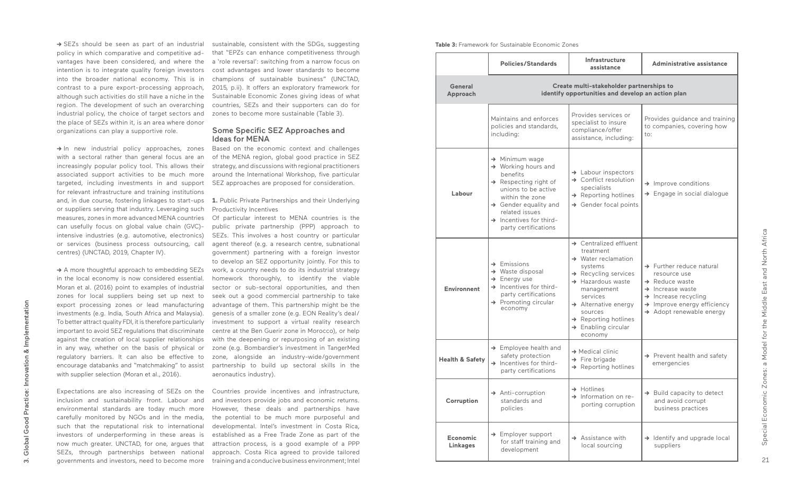→ SEZs should be seen as part of an industrial policy in which comparative and competitive advantages have been considered, and where the intention is to integrate quality foreign investors into the broader national economy. This is in contrast to a pure export-processing approach, although such activities do still have a niche in the region. The development of such an overarching industrial policy, the choice of target sectors and the place of SEZs within it, is an area where donor organizations can play a supportive role.

→ In new industrial policy approaches, zones with a sectoral rather than general focus are an increasingly popular policy tool. This allows their associated support activities to be much more targeted, including investments in and support SEZ approaches are proposed for consideration. for relevant infrastructure and training institutions and, in due course, fostering linkages to start-ups or suppliers serving that industry. Leveraging such measures, zones in more advanced MENA countries can usefully focus on global value chain (GVC) intensive industries (e.g. automotive, electronics) or services (business process outsourcing, call centres) (UNCTAD, 2019, Chapter IV).

→ A more thoughtful approach to embedding SEZs in the local economy is now considered essential. Moran et al. (2016) point to examples of industrial zones for local suppliers being set up next to export processing zones or lead manufacturing investments (e.g. India, South Africa and Malaysia). To better attract quality FDI, it is therefore particularly important to avoid SEZ regulations that discriminate against the creation of local supplier relationships in any way, whether on the basis of physical or regulatory barriers. It can also be effective to encourage databanks and "matchmaking" to assist with supplier selection (Moran et al., 2016).

Expectations are also increasing of SEZs on the inclusion and sustainability front. Labour and environmental standards are today much more carefully monitored by NGOs and in the media, such that the reputational risk to international investors of underperforming in these areas is now much greater. UNCTAD, for one, argues that SEZs, through partnerships between national governments and investors, need to become more

sustainable, consistent with the SDGs, suggesting that "EPZs can enhance competitiveness through a 'role reversal': switching from a narrow focus on cost advantages and lower standards to become champions of sustainable business" (UNCTAD, 2015, p.ii). It offers an exploratory framework for Sustainable Economic Zones giving ideas of what countries, SEZs and their supporters can do for zones to become more sustainable (Table 3).

### Some Specific SEZ Approaches and Ideas for MENA

Based on the economic context and challenges of the MENA region, global good practice in SEZ strategy, and discussions with regional practitioners around the International Workshop, five particular

**1.** Public Private Partnerships and their Underlying Productivity Incentives

Of particular interest to MENA countries is the public private partnership (PPP) approach to SEZs. This involves a host country or particular agent thereof (e.g. a research centre, subnational government) partnering with a foreign investor to develop an SEZ opportunity jointly. For this to work, a country needs to do its industrial strategy homework thoroughly, to identify the viable sector or sub-sectoral opportunities, and then seek out a good commercial partnership to take advantage of them. This partnership might be the genesis of a smaller zone (e.g. EON Reality's deal/ investment to support a virtual reality research centre at the Ben Guerir zone in Morocco), or help with the deepening or repurposing of an existing zone (e.g. Bombardier's investment in TangerMed zone, alongside an industry-wide/government partnership to build up sectoral skills in the aeronautics industry).

**Table 3:** Framework for Sustainable Economic Zones

|                                    | <b>Policies/Standards</b>                                                                                                                                                                                                                                                      | Infrastructure<br>assistance                                                                                                                                                                                                                                                                                                  | <b>Administrative assistance</b>                                                                                                                                                                                            |  |  |
|------------------------------------|--------------------------------------------------------------------------------------------------------------------------------------------------------------------------------------------------------------------------------------------------------------------------------|-------------------------------------------------------------------------------------------------------------------------------------------------------------------------------------------------------------------------------------------------------------------------------------------------------------------------------|-----------------------------------------------------------------------------------------------------------------------------------------------------------------------------------------------------------------------------|--|--|
| General<br>Approach                | Create multi-stakeholder partnerships to<br>identify opportunities and develop an action plan                                                                                                                                                                                  |                                                                                                                                                                                                                                                                                                                               |                                                                                                                                                                                                                             |  |  |
|                                    | Maintains and enforces<br>policies and standards,<br>including:                                                                                                                                                                                                                | Provides services or<br>specialist to insure<br>compliance/offer<br>assistance, including:                                                                                                                                                                                                                                    | Provides guidance and training<br>to companies, covering how<br>to:                                                                                                                                                         |  |  |
| Labour                             | $\rightarrow$ Minimum wage<br>$\rightarrow$ Working hours and<br>benefits<br>$\rightarrow$ Respecting right of<br>unions to be active<br>within the zone<br>$\rightarrow$ Gender equality and<br>related issues<br>$\rightarrow$ Incentives for third-<br>party certifications | $\rightarrow$ Labour inspectors<br>$\rightarrow$ Conflict resolution<br>specialists<br>$\rightarrow$ Reporting hotlines<br>$\rightarrow$ Gender focal points                                                                                                                                                                  | $\rightarrow$ Improve conditions<br>→ Engage in social dialogue                                                                                                                                                             |  |  |
| <b>Environnent</b>                 | $\rightarrow$ Emissions<br>$\rightarrow$ Waste disposal<br>$\rightarrow$ Energy use<br>$\rightarrow$ Incentives for third-<br>party certifications<br>$\rightarrow$ Promoting circular<br>economy                                                                              | $\rightarrow$ Centralized effluent<br>treatment<br>$\rightarrow$ Water reclamation<br>systems<br>$\rightarrow$ Recycling services<br>$\rightarrow$ Hazardous waste<br>management<br>services<br>$\rightarrow$ Alternative energy<br>sources<br>$\rightarrow$ Reporting hotlines<br>$\rightarrow$ Enabling circular<br>economy | $\rightarrow$ Further reduce natural<br>resource use<br>$\rightarrow$ Reduce waste<br>$\rightarrow$ Increase waste<br>$\rightarrow$ Increase recycling<br>$\rightarrow$ Improve energy efficiency<br>Adopt renewable energy |  |  |
| <b>Health &amp; Safety</b>         | $\rightarrow$ Employee health and<br>safety protection<br>$\rightarrow$ Incentives for third-<br>party certifications                                                                                                                                                          | $\rightarrow$ Medical clinic<br>$\rightarrow$ Fire brigade<br>$\rightarrow$ Reporting hotlines                                                                                                                                                                                                                                | $\rightarrow$ Prevent health and safety<br>emergencies                                                                                                                                                                      |  |  |
| Corruption                         | $\rightarrow$ Anti-corruption<br>standards and<br>policies                                                                                                                                                                                                                     | $\rightarrow$ Hotlines<br>$\rightarrow$ Information on re-<br>porting corruption                                                                                                                                                                                                                                              | $\rightarrow$ Build capacity to detect<br>and avoid corrupt<br>business practices                                                                                                                                           |  |  |
| <b>Economic</b><br><b>Linkages</b> | $\rightarrow$ Employer support<br>for staff training and<br>development                                                                                                                                                                                                        | $\rightarrow$ Assistance with<br>local sourcing                                                                                                                                                                                                                                                                               | $\rightarrow$ Identify and upgrade local<br>suppliers                                                                                                                                                                       |  |  |

Countries provide incentives and infrastructure, and investors provide jobs and economic returns. However, these deals and partnerships have the potential to be much more purposeful and developmental. Intel's investment in Costa Rica, established as a Free Trade Zone as part of the attraction process, is a good example of a PPP approach. Costa Rica agreed to provide tailored training and a conducive business environment; Intel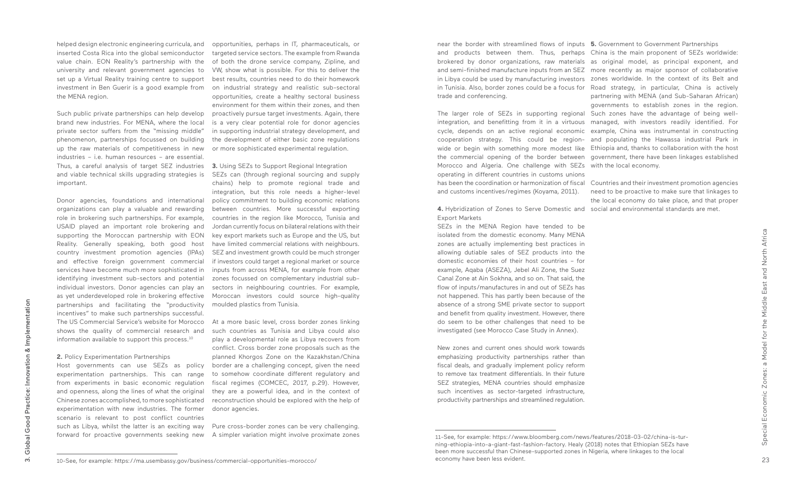helped design electronic engineering curricula, and inserted Costa Rica into the global semiconductor value chain. EON Reality's partnership with the university and relevant government agencies to set up a Virtual Reality training centre to support investment in Ben Guerir is a good example from the MENA region.

Donor agencies, foundations and international organizations can play a valuable and rewarding role in brokering such partnerships. For example, USAID played an important role brokering and supporting the Moroccan partnership with EON Reality. Generally speaking, both good host country investment promotion agencies (IPAs) and effective foreign government commercial services have become much more sophisticated in identifying investment sub-sectors and potential individual investors. Donor agencies can play an as yet underdeveloped role in brokering effective partnerships and facilitating the "productivity incentives" to make such partnerships successful. The US Commercial Service's website for Morocco shows the quality of commercial research and information available to support this process.<sup>10</sup>

Such public private partnerships can help develop brand new industries. For MENA, where the local private sector suffers from the "missing middle" phenomenon, partnerships focussed on building up the raw materials of competitiveness in new industries – i.e. human resources – are essential. Thus, a careful analysis of target SEZ industries **3.** Using SEZs to Support Regional Integration and viable technical skills upgrading strategies is important.

#### **2.** Policy Experimentation Partnerships

opportunities, perhaps in IT, pharmaceuticals, or targeted service sectors. The example from Rwanda of both the drone service company, Zipline, and VW, show what is possible. For this to deliver the best results, countries need to do their homework on industrial strategy and realistic sub-sectoral opportunities, create a healthy sectoral business environment for them within their zones, and then proactively pursue target investments. Again, there is a very clear potential role for donor agencies in supporting industrial strategy development, and the development of either basic zone regulations or more sophisticated experimental regulation.

**4.** Hybridization of Zones to Serve Domestic and social and environmental standards are met. Export Markets

Host governments can use SEZs as policy experimentation partnerships. This can range from experiments in basic economic regulation and openness, along the lines of what the original Chinese zones accomplished, to more sophisticated experimentation with new industries. The former scenario is relevant to post conflict countries such as Libya, whilst the latter is an exciting way forward for proactive governments seeking new A simpler variation might involve proximate zones

SEZs can (through regional sourcing and supply chains) help to promote regional trade and integration, but this role needs a higher-level policy commitment to building economic relations between countries. More successful exporting countries in the region like Morocco, Tunisia and Jordan currently focus on bilateral relations with their key export markets such as Europe and the US, but have limited commercial relations with neighbours. SEZ and investment growth could be much stronger if investors could target a regional market or source inputs from across MENA, for example from other zones focussed on complementary industrial subsectors in neighbouring countries. For example, Moroccan investors could source high-quality moulded plastics from Tunisia.

At a more basic level, cross border zones linking such countries as Tunisia and Libya could also play a developmental role as Libya recovers from conflict. Cross border zone proposals such as the planned Khorgos Zone on the Kazakhstan/China border are a challenging concept, given the need to somehow coordinate different regulatory and fiscal regimes (COMCEC, 2017, p.29). However, they are a powerful idea, and in the context of reconstruction should be explored with the help of donor agencies.

Pure cross-border zones can be very challenging.

near the border with streamlined flows of inputs **5.** Government to Government Partnerships and products between them. Thus, perhaps China is the main proponent of SEZs worldwide: brokered by donor organizations, raw materials as original model, as principal exponent, and and semi-finished manufacture inputs from an SEZ more recently as major sponsor of collaborative in Libya could be used by manufacturing investors zones worldwide. In the context of its Belt and in Tunisia. Also, border zones could be a focus for Road strategy, in particular, China is actively trade and conferencing.

The larger role of SEZs in supporting regional Such zones have the advantage of being wellintegration, and benefitting from it in a virtuous managed, with investors readily identified. For cycle, depends on an active regional economic example, China was instrumental in constructing cooperation strategy. This could be region-and populating the Hawassa industrial Park in wide or begin with something more modest like Ethiopia and, thanks to collaboration with the host the commercial opening of the border between government, there have been linkages established Morocco and Algeria. One challenge with SEZs with the local economy. operating in different countries in customs unions has been the coordination or harmonization of fiscal Countries and their investment promotion agencies and customs incentives/regimes (Koyama, 2011).

SEZs in the MENA Region have tended to be isolated from the domestic economy. Many MENA zones are actually implementing best practices in allowing dutiable sales of SEZ products into the domestic economies of their host countries – for example, Aqaba (ASEZA), Jebel Ali Zone, the Suez Canal Zone at Ain Sokhna, and so on. That said, the flow of inputs/manufactures in and out of SEZs has not happened. This has partly been because of the absence of a strong SME private sector to support and benefit from quality investment. However, there do seem to be other challenges that need to be investigated (see Morocco Case Study in Annex).

New zones and current ones should work towards emphasizing productivity partnerships rather than fiscal deals, and gradually implement policy reform to remove tax treatment differentials. In their future SEZ strategies, MENA countries should emphasize such incentives as sector-targeted infrastructure, productivity partnerships and streamlined regulation.

partnering with MENA (and Sub-Saharan African) governments to establish zones in the region.

need to be proactive to make sure that linkages to the local economy do take place, and that proper

Implementation

<sup>10-</sup>See, for example: https://ma.usembassy.gov/business/commercial-opportunities-morocco/

<sup>11-</sup>See, for example: https://www.bloomberg.com/news/features/2018-03-02/china-is-turning-ethiopia-into-a-giant-fast-fashion-factory. Healy (2018) notes that Ethiopian SEZs have been more successful than Chinese-supported zones in Nigeria, where linkages to the local economy have been less evident.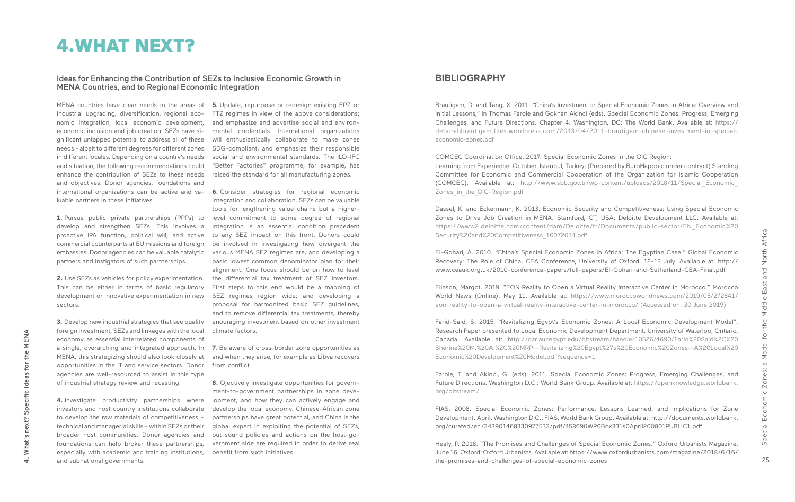MENA countries have clear needs in the areas of **5.** Update, repurpose or redesign existing EPZ or industrial upgrading, diversification, regional economic integration, local economic development, economic inclusion and job creation. SEZs have significant untapped potential to address all of these needs - albeit to different degrees for different zones in different locales. Depending on a country's needs and situation, the following recommendations could enhance the contribution of SEZs to these needs and objectives. Donor agencies, foundations and luable partners in these initiatives.

develop and strengthen SEZs. This involves a proactive IPA function, political will, and active commercial counterparts at EU missions and foreign embassies. Donor agencies can be valuable catalytic partners and instigators of such partnerships.

**2.** Use SEZs as vehicles for policy experimentation. This can be either in terms of basic regulatory development or innovative experimentation in new sectors.

**3.** Develop new industrial strategies that see quality foreign investment, SEZs and linkages with the local economy as essential interrelated components of MENA, this strategizing should also look closely at opportunities in the IT and service sectors. Donor agencies are well-resourced to assist in this type of industrial strategy review and recasting.

**4.** Investigate productivity partnerships where investors and host country institutions collaborate to develop the raw materials of competitiveness – technical and managerial skills – within SEZs or their broader host communities. Donor agencies and foundations can help broker these partnerships, especially with academic and training institutions, benefit from such initiatives. and subnational governments.

**8.** Oiectively investigate opportunities for government-to-government partnerships in zone development, and how they can actively engage and develop the local economy. Chinese-African zone partnerships have great potential, and China is the global expert in exploiting the potential of SEZs, but sound policies and actions on the host-government side are required in order to derive real

international organizations can be active and va-**6.** Consider strategies for regional economic **1.** Pursue public private partnerships (PPPs) to level commitment to some degree of regional integration and collaboration. SEZs can be valuable tools for lengthening value chains but a higherintegration is an essential condition precedent to any SEZ impact on this front. Donors could be involved in investigating how divergent the various MENA SEZ regimes are, and developing a basic lowest common denominator plan for their alignment. One focus should be on how to level the differential tax treatment of SEZ investors. First steps to this end would be a mapping of SEZ regimes region wide; and developing a proposal for harmonized basic SEZ guidelines, and to remove differential tax treatments, thereby enouraging investment based on other investment climate factors.

COMCEC Coordination Office. 2017. Special Economic Zones in the OIC Region: Learning from Experience. October. Istanbul, Turkey: (Prepared by BuroHappold under contract) Standing Committee for Economic and Commercial Cooperation of the Organization for Islamic Cooperation (COMCEC). Available at: http://www.sbb.gov.tr/wp-content/uploads/2018/11/Special\_Economic\_ Zones in the OIC-Region.pdf

FTZ regimes in view of the above considerations; and emphasize and advertise social and environmental credentials. International organizations will enthusiastically collaborate to make zones SDG-compliant, and emphasize their responsible social and environmental standards. The ILO-IFC "Better Factories" programme, for example, has raised the standard for all manufacturing zones.

a single, overarching and integrated approach. In **7.** Be aware of cross-border zone opportunities as and when they arise, for example as Libya recovers from conflict

### **BIBLIOGRAPHY**

Bräutigam, D. and Tang, X. 2011. "China's Investment in Special Economic Zones in Africa: Overview and Initial Lessons," In Thomas Farole and Gokhan Akinci (eds). Special Economic Zones: Progress, Emerging Challenges, and Future Directions. Chapter 4. Washington, DC: The World Bank. Available at: https:// deborahbrautigam.files.wordpress.com/2013/04/2011-brautigam-chinese-investment-in-specialeconomic-zones.pdf

Dassel, K. and Eckermann, K. 2013. Economic Security and Competitiveness: Using Special Economic Zones to Drive Job Creation in MENA. Stamford, CT, USA: Deloitte Development LLC. Available at: https://www2.deloitte.com/content/dam/Deloitte/tr/Documents/public-sector/EN\_Economic%20 Security%20and%20Competitiveness\_16072014.pdf

El-Gohari, A. 2010. "China's Special Economic Zones in Africa: The Egyptian Case." Global Economic Recovery: The Role of China. CEA Conference, University of Oxford. 12-13 July. Available at: http:// www.ceauk.org.uk/2010-conference-papers/full-papers/El-Gohari-and-Sutherland-CEA-Final.pdf

Eliason, Margot. 2019. "EON Reality to Open a Virtual Reality Interactive Center in Morocco." Morocco World News (Online). May 11. Available at: https://www.moroccoworldnews.com/2019/05/272841/ eon-reality-to-open-a-virtual-reality-interactive-center-in-morocco/ (Accessed on: 30 June 2019)

Farid-Said, S. 2015. "Revitalizing Egypt's Economic Zones: A Local Economic Development Model". Research Paper presented to Local Economic Development Department, University of Waterloo, Ontario, Canada. Available at: http://dar.aucegypt.edu/bitstream/handle/10526/4690/Farid%20Said%2C%20 Sherine%20M.%20A.%2C%20MRP--Revitalizing%20Egypt%27s%20Economic%20Zones--A%20Local%20 Economic%20Development%20Model.pdf?sequence=1

Farole, T. and Akinci, G. (eds). 2011. Special Economic Zones: Progress, Emerging Challenges, and Future Directions. Washington D.C.: World Bank Group. Available at: https://openknowledge.worldbank. org/bitstream/

FIAS. 2008. Special Economic Zones: Performance, Lessons Learned, and Implications for Zone Development. April. Washington D.C.: FIAS, World Bank Group. Available at: http://documents.worldbank. org/curated/en/343901468330977533/pdf/458690WP0Box331s0April200801PUBLIC1.pdf

Healy, P. 2018. "The Promises and Challenges of Special Economic Zones." Oxford Urbanists Magazine. June 16. Oxford: Oxford Urbanists. Available at: https://www.oxfordurbanists.com/magazine/2018/6/16/ the-promises-and-challenges-of-special-economic-zones

## 4.WHAT NEXT?

### Ideas for Enhancing the Contribution of SEZs to Inclusive Economic Growth in MENA Countries, and to Regional Economic Integration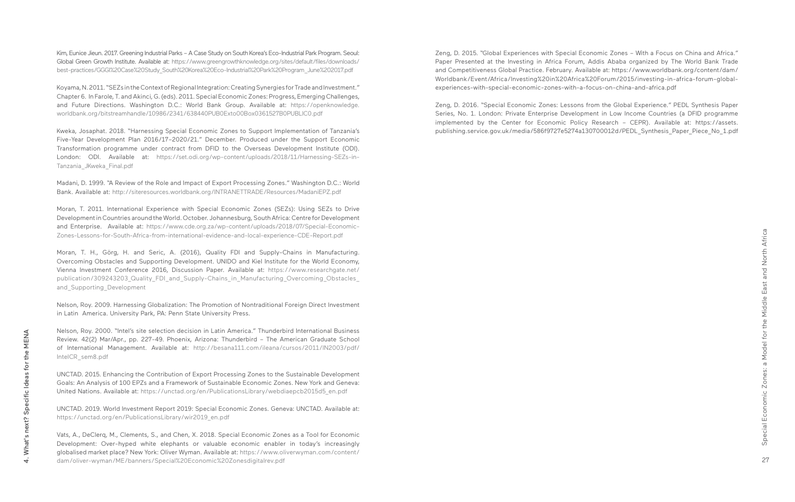Kim, Eunice Jieun. 2017. Greening Industrial Parks – A Case Study on South Korea's Eco-Industrial Park Program. Seoul: Global Green Growth Institute. Available at: https://www.greengrowthknowledge.org/sites/default/files/downloads/ best-practices/GGGI%20Case%20Study\_South%20Korea%20Eco-Industrial%20Park%20Program\_June%202017.pdf

Koyama, N. 2011. "SEZs in the Context of Regional Integration: Creating Synergies for Trade and Investment." Chapter 6. In Farole, T. and Akinci, G. (eds). 2011. Special Economic Zones: Progress, Emerging Challenges, and Future Directions. Washington D.C.: World Bank Group. Available at: https://openknowledge. worldbank.org/bitstreamhandle/10986/2341/638440PUB0Exto00Box0361527B0PUBLIC0.pdf

Moran, T. H., Görg, H. and Seric, A. (2016), Quality FDI and Supply-Chains in Manufacturing. Overcoming Obstacles and Supporting Development. UNIDO and Kiel Institute for the World Economy, Vienna Investment Conference 2016, Discussion Paper. Available at: https://www.researchgate.net/ publication/309243203 Quality FDI and Supply-Chains in Manufacturing Overcoming Obstacles and Supporting Development

Kweka, Josaphat. 2018. "Harnessing Special Economic Zones to Support Implementation of Tanzania's Five-Year Development Plan 2016/17–2020/21." December. Produced under the Support Economic Transformation programme under contract from DFID to the Overseas Development Institute (ODI). London: ODI. Available at: https://set.odi.org/wp-content/uploads/2018/11/Harnessing-SEZs-in-Tanzania\_JKweka\_Final.pdf

Madani, D. 1999. "A Review of the Role and Impact of Export Processing Zones." Washington D.C.: World Bank. Available at: http://siteresources.worldbank.org/INTRANETTRADE/Resources/MadaniEPZ.pdf

Moran, T. 2011. International Experience with Special Economic Zones (SEZs): Using SEZs to Drive Development in Countries around the World. October. Johannesburg, South Africa: Centre for Development and Enterprise. Available at: https://www.cde.org.za/wp-content/uploads/2018/07/Special-Economic-Zones-Lessons-for-South-Africa-from-international-evidence-and-local-experience-CDE-Report.pdf

Zeng, D. 2016. "Special Economic Zones: Lessons from the Global Experience." PEDL Synthesis Paper Series, No. 1. London: Private Enterprise Development in Low Income Countries (a DFID programme implemented by the Center for Economic Policy Research – CEPR). Available at: https://assets. publishing.service.gov.uk/media/586f9727e5274a130700012d/PEDL Synthesis Paper Piece No 1.pdf

Nelson, Roy. 2009. Harnessing Globalization: The Promotion of Nontraditional Foreign Direct Investment in Latin America. University Park, PA: Penn State University Press.

Nelson, Roy. 2000. "Intel's site selection decision in Latin America." Thunderbird International Business Review. 42(2) Mar/Apr., pp. 227-49. Phoenix, Arizona: Thunderbird – The American Graduate School of International Management. Available at: http://besana111.com/ileana/cursos/2011/IN2003/pdf/ IntelCR\_sem8.pdf

UNCTAD. 2015. Enhancing the Contribution of Export Processing Zones to the Sustainable Development Goals: An Analysis of 100 EPZs and a Framework of Sustainable Economic Zones. New York and Geneva: United Nations. Available at: https://unctad.org/en/PublicationsLibrary/webdiaepcb2015d5\_en.pdf

UNCTAD. 2019. World Investment Report 2019: Special Economic Zones. Geneva: UNCTAD. Available at: https://unctad.org/en/PublicationsLibrary/wir2019\_en.pdf

Vats, A., DeClerq, M., Clements, S., and Chen, X. 2018. Special Economic Zones as a Tool for Economic Development: Over-hyped white elephants or valuable economic enabler in today's increasingly globalised market place? New York: Oliver Wyman. Available at: https://www.oliverwyman.com/content/ dam/oliver-wyman/ME/banners/Special%20Economic%20Zonesdigitalrev.pdf

Zeng, D. 2015. "Global Experiences with Special Economic Zones – With a Focus on China and Africa." Paper Presented at the Investing in Africa Forum, Addis Ababa organized by The World Bank Trade and Competitiveness Global Practice. February. Available at: https://www.worldbank.org/content/dam/ Worldbank/Event/Africa/Investing%20in%20Africa%20Forum/2015/investing-in-africa-forum-globalexperiences-with-special-economic-zones-with-a-focus-on-china-and-africa.pdf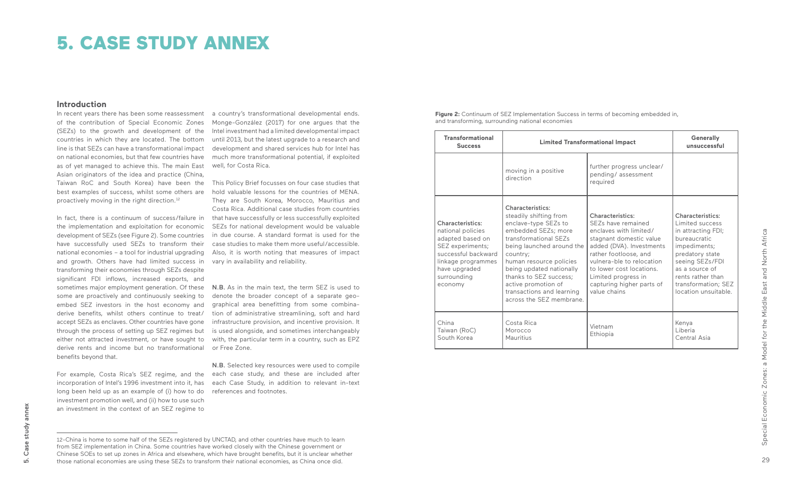of the contribution of Special Economic Zones Monge-González (2017) for one argues that the (SEZs) to the growth and development of the Intel investment had a limited developmental impact countries in which they are located. The bottom until 2013, but the latest upgrade to a research and line is that SEZs can have a transformational impact on national economies, but that few countries have much more transformational potential, if exploited as of yet managed to achieve this. The main East well, for Costa Rica. Asian originators of the idea and practice (China, best examples of success, whilst some others are proactively moving in the right direction.<sup>12</sup>

### **Introduction**

In recent years there has been some reassessment a country's transformational developmental ends. development and shared services hub for Intel has

the implementation and exploitation for economic development of SEZs (see Figure 2). Some countries have successfully used SEZs to transform their national economies – a tool for industrial upgrading and growth. Others have had limited success in transforming their economies through SEZs despite significant FDI inflows, increased exports, and some are proactively and continuously seeking to embed SEZ investors in the host economy and derive benefits, whilst others continue to treat/ accept SEZs as enclaves. Other countries have gone through the process of setting up SEZ regimes but either not attracted investment, or have sought to derive rents and income but no transformational benefits beyond that.

sometimes major employment generation. Of these **N.B.** As in the main text, the term SEZ is used to denote the broader concept of a separate geographical area benefitting from some combination of administrative streamlining, soft and hard infrastructure provision, and incentive provision. It is used alongside, and sometimes interchangeably with, the particular term in a country, such as EPZ or Free Zone.

Taiwan RoC and South Korea) have been the This Policy Brief focusses on four case studies that In fact, there is a continuum of success/failure in that have successfully or less successfully exploited hold valuable lessons for the countries of MENA. They are South Korea, Morocco, Mauritius and Costa Rica. Additional case studies from countries SEZs for national development would be valuable in due course. A standard format is used for the case studies to make them more useful/accessible. Also, it is worth noting that measures of impact vary in availability and reliability.

long been held up as an example of (i) how to do investment promotion well, and (ii) how to use such an investment in the context of an SEZ regime to

**Figure 2:** Continuum of SEZ Implementation Success in terms of becoming embedded in, and transforming, surrounding national economies

For example, Costa Rica's SEZ regime, and the each case study, and these are included after incorporation of Intel's 1996 investment into it, has each Case Study, in addition to relevant in-text N.B. Selected key resources were used to compile references and footnotes.

| <b>Transformational</b><br><b>Success</b>                                                                                                                             | <b>Limited Transformational Impact</b>                                                                                                                                                                                                                                                                                              | <b>Generally</b><br>unsuccessful                                                                                                                                                                                                                                              |                                                                                                                                                                                                                              |
|-----------------------------------------------------------------------------------------------------------------------------------------------------------------------|-------------------------------------------------------------------------------------------------------------------------------------------------------------------------------------------------------------------------------------------------------------------------------------------------------------------------------------|-------------------------------------------------------------------------------------------------------------------------------------------------------------------------------------------------------------------------------------------------------------------------------|------------------------------------------------------------------------------------------------------------------------------------------------------------------------------------------------------------------------------|
|                                                                                                                                                                       | moving in a positive<br>direction                                                                                                                                                                                                                                                                                                   | further progress unclear/<br>pending/assessment<br>required                                                                                                                                                                                                                   |                                                                                                                                                                                                                              |
| Characteristics:<br>national policies<br>adapted based on<br>SEZ experiments;<br>successful backward<br>linkage programmes<br>have upgraded<br>surrounding<br>economy | <b>Characteristics:</b><br>steadily shifting from<br>enclave-type SEZs to<br>embedded SEZs; more<br>transformational SF7s<br>being launched around the<br>country;<br>human resource policies<br>being updated nationally<br>thanks to SEZ success:<br>active promotion of<br>transactions and learning<br>across the SFZ membrane. | Characteristics:<br>SEZs have remained<br>enclaves with limited/<br>stagnant domestic value<br>added (DVA). Investments<br>rather footloose, and<br>vulnera-ble to relocation<br>to lower cost locations.<br>Limited progress in<br>capturing higher parts of<br>value chains | <b>Characteristics:</b><br>Limited success<br>in attracting FDI;<br>bureaucratic<br>impediments;<br>predatory state<br>seeing SEZs/FDI<br>as a source of<br>rents rather than<br>transformation; SEZ<br>location unsuitable. |
| China<br>Taiwan (RoC)<br>South Korea                                                                                                                                  | Costa Rica<br>Morocco<br>Mauritius                                                                                                                                                                                                                                                                                                  | Vietnam<br>Ethiopia                                                                                                                                                                                                                                                           | Kenya<br>Liberia<br>Central Asia                                                                                                                                                                                             |

# 5. CASE STUDY ANNEX

annex 5. Case study annex study  $\mathbb O$ Ö ம்

<sup>12-</sup>China is home to some half of the SEZs registered by UNCTAD, and other countries have much to learn from SEZ implementation in China. Some countries have worked closely with the Chinese government or Chinese SOEs to set up zones in Africa and elsewhere, which have brought benefits, but it is unclear whether those national economies are using these SEZs to transform their national economies, as China once did.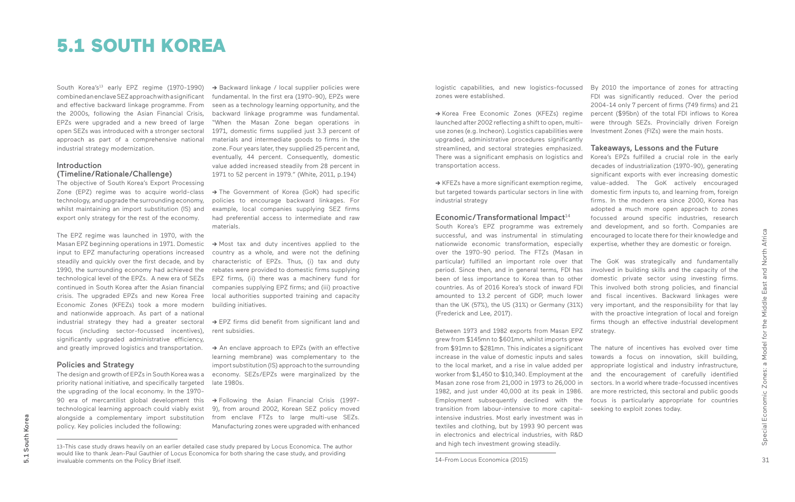South Korea's<sup>13</sup> early EPZ regime (1970-1990) combined an enclave SEZ approach with a significant and effective backward linkage programme. From the 2000s, following the Asian Financial Crisis, EPZs were upgraded and a new breed of large open SEZs was introduced with a stronger sectoral approach as part of a comprehensive national industrial strategy modernization.

### Introduction (Timeline/Rationale/Challenge)

The objective of South Korea's Export Processing Zone (EPZ) regime was to acquire world-class technology, and upgrade the surrounding economy, whilst maintaining an import substitution (IS) and export only strategy for the rest of the economy.

The EPZ regime was launched in 1970, with the Masan EPZ beginning operations in 1971. Domestic input to EPZ manufacturing operations increased steadily and quickly over the first decade, and by 1990, the surrounding economy had achieved the continued in South Korea after the Asian financial crisis. The upgraded EPZs and new Korea Free Economic Zones (KFEZs) took a more modern and nationwide approach. As part of a national industrial strategy they had a greater sectoral focus (including sector-focussed incentives), significantly upgraded administrative efficiency, and greatly improved logistics and transportation.

→ Backward linkage / local supplier policies were fundamental. In the first era (1970-90), EPZs were seen as a technology learning opportunity, and the backward linkage programme was fundamental. "When the Masan Zone began operations in 1971, domestic firms supplied just 3.3 percent of materials and intermediate goods to firms in the zone. Four years later, they supplied 25 percent and, eventually, 44 percent. Consequently, domestic value added increased steadily from 28 percent in 1971 to 52 percent in 1979." (White, 2011, p.194)

→ The Government of Korea (GoK) had specific policies to encourage backward linkages. For example, local companies supplying SEZ firms had preferential access to intermediate and raw materials.

### Policies and Strategy

→ An enclave approach to EPZs (with an effective learning membrane) was complementary to the import substitution (IS) approach to the surrounding economy. SEZs/EPZs were marginalized by the late 1980s.

The design and growth of EPZs in South Korea was a priority national initiative, and specifically targeted the upgrading of the local economy. In the 1970- 90 era of mercantilist global development this technological learning approach could viably exist alongside a complementary import substitution policy. Key policies included the following:

## 5.1 SOUTH KOREA

technological level of the EPZs. A new era of SEZs EPZ firms, (ii) there was a machinery fund for → Most tax and duty incentives applied to the country as a whole, and were not the defining characteristic of EPZs. Thus, (i) tax and duty rebates were provided to domestic firms supplying companies supplying EPZ firms; and (iii) proactive local authorities supported training and capacity building initiatives.

logistic capabilities, and new logistics-focussed By 2010 the importance of zones for attracting zones were established.

**->** EPZ firms did benefit from significant land and rent subsidies.

**->** Following the Asian Financial Crisis (1997- 9), from around 2002, Korean SEZ policy moved from enclave FTZs to large multi-use SEZs. Manufacturing zones were upgraded with enhanced

FDI was significantly reduced. Over the period 2004-14 only 7 percent of firms (749 firms) and 21 percent (\$95bn) of the total FDI inflows to Korea were through SEZs. Provincially driven Foreign Investment Zones (FIZs) were the main hosts.

### Takeaways, Lessons and the Future

Korea's EPZs fulfilled a crucial role in the early decades of industrialization (1970-90), generating significant exports with ever increasing domestic value-added. The GoK actively encouraged domestic firm inputs to, and learning from, foreign firms. In the modern era since 2000, Korea has adopted a much more open approach to zones focussed around specific industries, research and development, and so forth. Companies are encouraged to locate there for their knowledge and expertise, whether they are domestic or foreign.

The GoK was strategically and fundamentally involved in building skills and the capacity of the domestic private sector using investing firms. This involved both strong policies, and financial and fiscal incentives. Backward linkages were very important, and the responsibility for that lay with the proactive integration of local and foreign firms though an effective industrial development strategy.

The nature of incentives has evolved over time towards a focus on innovation, skill building, appropriate logistical and industry infrastructure, and the encouragement of carefully identified sectors. In a world where trade-focussed incentives are more restricted, this sectoral and public goods focus is particularly appropriate for countries seeking to exploit zones today.

**->** Korea Free Economic Zones (KFEZs) regime launched after 2002 reflecting a shift to open, multiuse zones (e.g. Incheon). Logistics capabilities were upgraded, administrative procedures significantly streamlined, and sectoral strategies emphasized. There was a significant emphasis on logistics and transportation access.

**->** KFEZs have a more significant exemption regime, but targeted towards particular sectors in line with industrial strategy

### Economic/Transformational Impact<sup>14</sup>

South Korea's EPZ programme was extremely successful, and was instrumental in stimulating nationwide economic transformation, especially over the 1970-90 period. The FTZs (Masan in particular) fulfilled an important role over that period. Since then, and in general terms, FDI has been of less importance to Korea than to other countries. As of 2016 Korea's stock of inward FDI amounted to 13.2 percent of GDP, much lower than the UK (57%), the US (31%) or Germany (31%) (Frederick and Lee, 2017).

Between 1973 and 1982 exports from Masan EPZ grew from \$145mn to \$601mn, whilst imports grew from \$91mn to \$281mn. This indicates a significant increase in the value of domestic inputs and sales to the local market, and a rise in value added per worker from \$1,450 to \$10,340. Employment at the Masan zone rose from 21,000 in 1973 to 26,000 in 1982, and just under 40,000 at its peak in 1986. Employment subsequently declined with the transition from labour-intensive to more capitalintensive industries. Most early investment was in textiles and clothing, but by 1993 90 percent was in electronics and electrical industries, with R&D and high tech investment growing steadily.

<sup>13-</sup>This case study draws heavily on an earlier detailed case study prepared by Locus Economica. The author would like to thank Jean-Paul Gauthier of Locus Economica for both sharing the case study, and providing invaluable comments on the Policy Brief itself.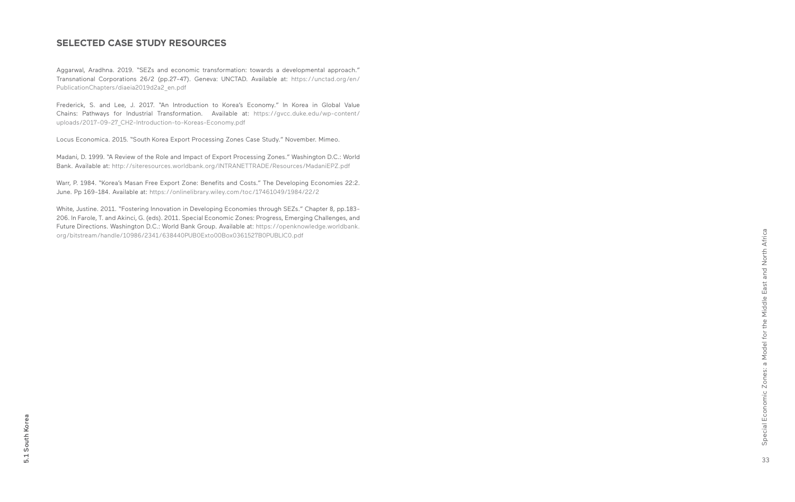33Special Economic Zones: a Model for the Middle East and North Africa Special Economic Zones: a Model for the Middle East and North Africa 33

### **SELECTED CASE STUDY RESOURCES**

Aggarwal, Aradhna. 2019. "SEZs and economic transformation: towards a developmental approach." Transnational Corporations 26/2 (pp.27-47). Geneva: UNCTAD. Available at: https://unctad.org/en/ PublicationChapters/diaeia2019d2a2\_en.pdf

Frederick, S. and Lee, J. 2017. "An Introduction to Korea's Economy." In Korea in Global Value Chains: Pathways for Industrial Transformation. Available at: https://gvcc.duke.edu/wp-content/ uploads/2017-09-27\_CH2-Introduction-to-Koreas-Economy.pdf

Locus Economica. 2015. "South Korea Export Processing Zones Case Study." November. Mimeo.

Madani, D. 1999. "A Review of the Role and Impact of Export Processing Zones." Washington D.C.: World Bank. Available at: http://siteresources.worldbank.org/INTRANETTRADE/Resources/MadaniEPZ.pdf

Warr, P. 1984. "Korea's Masan Free Export Zone: Benefits and Costs." The Developing Economies 22:2. June. Pp 169-184. Available at: https://onlinelibrary.wiley.com/toc/17461049/1984/22/2

White, Justine. 2011. "Fostering Innovation in Developing Economies through SEZs." Chapter 8, pp.183- 206. In Farole, T. and Akinci, G. (eds). 2011. Special Economic Zones: Progress, Emerging Challenges, and Future Directions. Washington D.C.: World Bank Group. Available at: https://openknowledge.worldbank. org/bitstream/handle/10986/2341/638440PUB0Exto00Box0361527B0PUBLIC0.pdf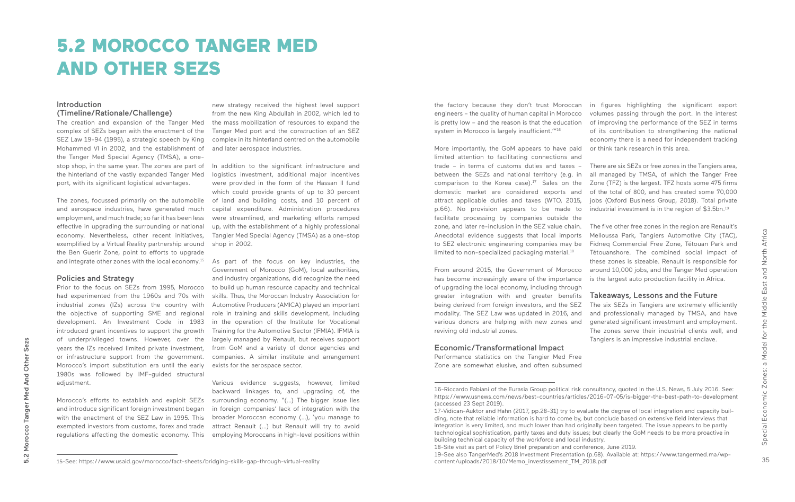35

### Introduction (Timeline/Rationale/Challenge)

The zones, focussed primarily on the automobile and aerospace industries, have generated much employment, and much trade; so far it has been less effective in upgrading the surrounding or national economy. Nevertheless, other recent initiatives, exemplified by a Virtual Reality partnership around the Ben Guerir Zone, point to efforts to upgrade and integrate other zones with the local economy.<sup>15</sup>

The creation and expansion of the Tanger Med complex of SEZs began with the enactment of the SEZ Law 19-94 (1995), a strategic speech by King Mohammed VI in 2002, and the establishment of the Tanger Med Special Agency (TMSA), a onestop shop, in the same year. The zones are part of the hinterland of the vastly expanded Tanger Med port, with its significant logistical advantages.

Prior to the focus on SEZs from 1995, Morocco had experimented from the 1960s and 70s with industrial zones (IZs) across the country with the objective of supporting SME and regional development. An Investment Code in 1983 introduced grant incentives to support the growth of underprivileged towns. However, over the years the IZs received limited private investment, or infrastructure support from the government. Morocco's import substitution era until the early 1980s was followed by IMF-guided structural adjustment.

### Policies and Strategy

As part of the focus on key industries, the Government of Morocco (GoM), local authorities, and industry organizations, did recognize the need to build up human resource capacity and technical skills. Thus, the Moroccan Industry Association for Automotive Producers (AMICA) played an important role in training and skills development, including in the operation of the Institute for Vocational Training for the Automotive Sector (IFMIA). IFMIA is largely managed by Renault, but receives support from GoM and a variety of donor agencies and companies. A similar institute and arrangement exists for the aerospace sector.

Morocco's efforts to establish and exploit SEZs and introduce significant foreign investment began with the enactment of the SEZ Law in 1995. This exempted investors from customs, forex and trade regulations affecting the domestic economy. This

# 5.2 MOROCCO TANGER MED AND OTHER SEZS

new strategy received the highest level support from the new King Abdullah in 2002, which led to the mass mobilization of resources to expand the Tanger Med port and the construction of an SEZ complex in its hinterland centred on the automobile and later aerospace industries.

> all managed by TMSA, of which the Tanger Free Zone (TFZ) is the largest. TFZ hosts some 475 firms of the total of 800, and has created some 70,000 jobs (Oxford Business Group, 2018). Total private industrial investment is in the region of \$3.5bn.<sup>19</sup>

In addition to the significant infrastructure and logistics investment, additional major incentives were provided in the form of the Hassan II fund which could provide grants of up to 30 percent of land and building costs, and 10 percent of capital expenditure. Administration procedures were streamlined, and marketing efforts ramped up, with the establishment of a highly professional Tangier Med Special Agency (TMSA) as a one-stop shop in 2002.

Various evidence suggests, however, limited backward linkages to, and upgrading of, the surrounding economy. "(…) The bigger issue lies in foreign companies' lack of integration with the broader Moroccan economy (…), 'you manage to attract Renault (…) but Renault will try to avoid employing Moroccans in high-level positions within

15-See: https://www.usaid.gov/morocco/fact-sheets/bridging-skills-gap-through-virtual-reality

the factory because they don't trust Moroccan in figures highlighting the significant export engineers – the quality of human capital in Morocco is pretty low – and the reason is that the education system in Morocco is largely insufficient."<sup>16</sup>

trade – in terms of customs duties and taxes – There are six SEZs or free zones in the Tangiers area, More importantly, the GoM appears to have paid limited attention to facilitating connections and between the SEZs and national territory (e.g. in comparison to the Korea case). $17$  Sales on the domestic market are considered exports and attract applicable duties and taxes (WTO, 2015, p.66). No provision appears to be made to facilitate processing by companies outside the zone, and later re-inclusion in the SEZ value chain. Anecdotal evidence suggests that local imports to SEZ electronic engineering companies may be limited to non-specialized packaging material.<sup>18</sup>

volumes passing through the port. In the interest of improving the performance of the SEZ in terms of its contribution to strengthening the national economy there is a need for independent tracking or think tank research in this area.

The five other free zones in the region are Renault's Melloussa Park, Tangiers Automotive City (TAC), Fidneq Commercial Free Zone, Tétouan Park and Tétouanshore. The combined social impact of these zones is sizeable. Renault is responsible for around 10,000 jobs, and the Tanger Med operation is the largest auto production facility in Africa.

### Takeaways, Lessons and the Future

The six SEZs in Tangiers are extremely efficiently and professionally managed by TMSA, and have generated significant investment and employment. The zones serve their industrial clients well, and Tangiers is an impressive industrial enclave.

From around 2015, the Government of Morocco has become increasingly aware of the importance of upgrading the local economy, including through greater integration with and greater benefits being derived from foreign investors, and the SEZ modality. The SEZ Law was updated in 2016, and various donors are helping with new zones and reviving old industrial zones.

### Economic/Transformational Impact

Performance statistics on the Tangier Med Free Zone are somewhat elusive, and often subsumed

16-Riccardo Fabiani of the Eurasia Group political risk consultancy, quoted in the U.S. News, 5 July 2016. See:

https://www.usnews.com/news/best-countries/articles/2016-07-05/is-bigger-the-best-path-to-development (accessed 23 Sept 2019).

<sup>17-</sup>Vidican-Auktor and Hahn (2017, pp.28-31) try to evaluate the degree of local integration and capacity building, note that reliable information is hard to come by, but conclude based on extensive field interviews that integration is very limited, and much lower than had originally been targeted. The issue appears to be partly technological sophistication, partly taxes and duty issues; but clearly the GoM needs to be more proactive in building technical capacity of the workforce and local industry. 18-Site visit as part of Policy Brief preparation and conference, June 2019. 19-See also TangerMed's 2018 Investment Presentation (p.68). Available at: https://www.tangermed.ma/wpcontent/uploads/2018/10/Memo\_investissement\_TM\_2018.pdf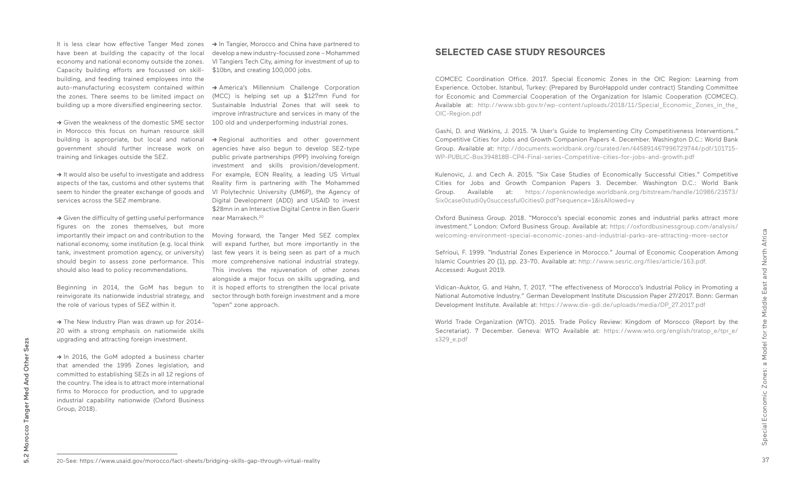have been at building the capacity of the local economy and national economy outside the zones. Capacity building efforts are focussed on skillbuilding, and feeding trained employees into the auto-manufacturing ecosystem contained within the zones. There seems to be limited impact on building up a more diversified engineering sector.

→ It would also be useful to investigate and address aspects of the tax, customs and other systems that seem to hinder the greater exchange of goods and services across the SEZ membrane.

**->** Given the weakness of the domestic SME sector in Morocco this focus on human resource skill building is appropriate, but local and national government should further increase work on training and linkages outside the SEZ.

**->** Given the difficulty of getting useful performance figures on the zones themselves, but more importantly their impact on and contribution to the national economy, some institution (e.g. local think tank, investment promotion agency, or university) should begin to assess zone performance. This should also lead to policy recommendations.

Beginning in 2014, the GoM has begun to reinvigorate its nationwide industrial strategy, and the role of various types of SEZ within it.

**->** The New Industry Plan was drawn up for 2014- 20 with a strong emphasis on nationwide skills upgrading and attracting foreign investment.

**->** In 2016, the GoM adopted a business charter that amended the 1995 Zones legislation, and committed to establishing SEZs in all 12 regions of the country. The idea is to attract more international firms to Morocco for production, and to upgrade industrial capability nationwide (Oxford Business Group, 2018).

 It is less clear how effective Tanger Med zones **->** In Tangier, Morocco and China have partnered to develop a new industry-focussed zone – Mohammed VI Tangiers Tech City, aiming for investment of up to \$10bn, and creating 100,000 jobs.

> **->** America's Millennium Challenge Corporation (MCC) is helping set up a \$127mn Fund for Sustainable Industrial Zones that will seek to improve infrastructure and services in many of the 100 old and underperforming industrial zones.

> **->** Regional authorities and other government agencies have also begun to develop SEZ-type public private partnerships (PPP) involving foreign investment and skills provision/development. For example, EON Reality, a leading US Virtual Reality firm is partnering with The Mohammed VI Polytechnic University (UM6P), the Agency of Digital Development (ADD) and USAID to invest \$28mn in an Interactive Digital Centre in Ben Guerir near Marrakech.20

> Moving forward, the Tanger Med SEZ complex will expand further, but more importantly in the last few years it is being seen as part of a much more comprehensive national industrial strategy. This involves the rejuvenation of other zones alongside a major focus on skills upgrading, and it is hoped efforts to strengthen the local private sector through both foreign investment and a more "open" zone approach.

### **SELECTED CASE STUDY RESOURCES**

COMCEC Coordination Office. 2017. Special Economic Zones in the OIC Region: Learning from Experience. October. Istanbul, Turkey: (Prepared by BuroHappold under contract) Standing Committee for Economic and Commercial Cooperation of the Organization for Islamic Cooperation (COMCEC). Available at: http://www.sbb.gov.tr/wp-content/uploads/2018/11/Special Economic Zones in the OIC-Region.pdf

Gashi, D. and Watkins, J. 2015. "A User's Guide to Implementing City Competitiveness Interventions." Competitive Cities for Jobs and Growth Companion Papers 4. December. Washington D.C.: World Bank Group. Available at: http://documents.worldbank.org/curated/en/445891467996729744/pdf/101715- WP-PUBLIC-Box394818B-CP4-Final-series-Competitive-cities-for-jobs-and-growth.pdf

Kulenovic, J. and Cech A. 2015. "Six Case Studies of Economically Successful Cities." Competitive Cities for Jobs and Growth Companion Papers 3. December. Washington D.C.: World Bank Group. Available at: https://openknowledge.worldbank.org/bitstream/handle/10986/23573/ Six0case0studi0y0successful0cities0.pdf?sequence=1&isAllowed=y

Oxford Business Group. 2018. "Morocco's special economic zones and industrial parks attract more investment." London: Oxford Business Group. Available at: https://oxfordbusinessgroup.com/analysis/ welcoming-environment-special-economic-zones-and-industrial-parks-are-attracting-more-sector

Sefrioui, F. 1999. "Industrial Zones Experience in Morocco." Journal of Economic Cooperation Among Islamic Countries 20 (1), pp. 23-70. Available at: http://www.sesric.org/files/article/163.pdf. Accessed: August 2019.

Vidican-Auktor, G. and Hahn, T. 2017. "The effectiveness of Morocco's Industrial Policy in Promoting a National Automotive Industry." German Development Institute Discussion Paper 27/2017. Bonn: German Development Institute. Available at: https://www.die-gdi.de/uploads/media/DP\_27.2017.pdf

World Trade Organization (WTO). 2015. Trade Policy Review: Kingdom of Morocco (Report by the Secretariat). 7 December. Geneva: WTO Available at: https://www.wto.org/english/tratop\_e/tpr\_e/ s329\_e.pdf

<sup>20-</sup>See: https://www.usaid.gov/morocco/fact-sheets/bridging-skills-gap-through-virtual-reality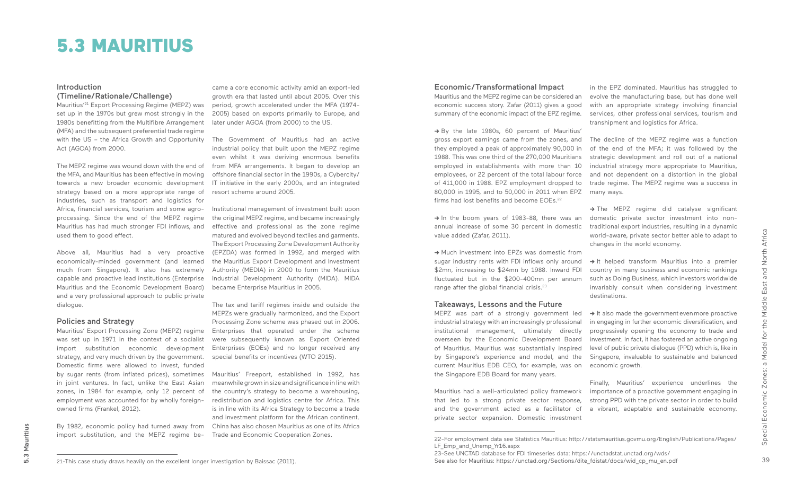39

### **Introduction** (Timeline/Rationale/Challenge)

Mauritius'21 Export Processing Regime (MEPZ) was set up in the 1970s but grew most strongly in the 1980s benefitting from the Multifibre Arrangement (MFA) and the subsequent preferential trade regime with the US – the Africa Growth and Opportunity Act (AGOA) from 2000.

the MFA, and Mauritius has been effective in moving towards a new broader economic development strategy based on a more appropriate range of industries, such as transport and logistics for Africa, financial services, tourism and some agroprocessing. Since the end of the MEPZ regime Mauritius has had much stronger FDI inflows, and used them to good effect.

Above all, Mauritius had a very proactive economically-minded government (and learned much from Singapore). It also has extremely capable and proactive lead institutions (Enterprise Mauritius and the Economic Development Board) and a very professional approach to public private dialogue.

### Policies and Strategy

The MEPZ regime was wound down with the end of from MFA arrangements. It began to develop an The Government of Mauritius had an active industrial policy that built upon the MEPZ regime even whilst it was deriving enormous benefits offshore financial sector in the 1990s, a Cybercity/ IT initiative in the early 2000s, and an integrated resort scheme around 2005.

Mauritius' Export Processing Zone (MEPZ) regime was set up in 1971 in the context of a socialist import substitution economic development strategy, and very much driven by the government. Domestic firms were allowed to invest, funded by sugar rents (from inflated prices), sometimes in joint ventures. In fact, unlike the East Asian zones, in 1984 for example, only 12 percent of employment was accounted for by wholly foreignowned firms (Frankel, 2012).

By 1982, economic policy had turned away from import substitution, and the MEPZ regime be-

### 5.3 MAURITIUS

came a core economic activity amid an export-led growth era that lasted until about 2005. Over this period, growth accelerated under the MFA (1974- 2005) based on exports primarily to Europe, and later under AGOA (from 2000) to the US.

> → It also made the government even more proactive in engaging in further economic diversification, and progressively opening the economy to trade and investment. In fact, it has fostered an active ongoing level of public private dialogue (PPD) which is, like in Singapore, invaluable to sustainable and balanced economic growth.

Institutional management of investment built upon the original MEPZ regime, and became increasingly effective and professional as the zone regime matured and evolved beyond textiles and garments. The Export Processing Zone Development Authority (EPZDA) was formed in 1992, and merged with the Mauritius Export Development and Investment Authority (MEDIA) in 2000 to form the Mauritius Industrial Development Authority (MIDA). MIDA became Enterprise Mauritius in 2005.

**->** By the late 1980s, 60 percent of Mauritius' gross export earnings came from the zones, and they employed a peak of approximately 90,000 in 1988. This was one third of the 270,000 Mauritians employed in establishments with more than 10 employees, or 22 percent of the total labour force of 411,000 in 1988. EPZ employment dropped to 80,000 in 1995, and to 50,000 in 2011 when EPZ firms had lost benefits and become FOEs<sup>22</sup>

The tax and tariff regimes inside and outside the MEPZs were gradually harmonized, and the Export Processing Zone scheme was phased out in 2006. Enterprises that operated under the scheme were subsequently known as Export Oriented Enterprises (EOEs) and no longer received any special benefits or incentives (WTO 2015).

**->** Much investment into EPZs was domestic from sugar industry rents with FDI inflows only around \$2mn, increasing to \$24mn by 1988. Inward FDI fluctuated but in the \$200-400mn per annum range after the global financial crisis.<sup>23</sup>

Mauritius' Freeport, established in 1992, has meanwhile grown in size and significance in line with the country's strategy to become a warehousing, redistribution and logistics centre for Africa. This is in line with its Africa Strategy to become a trade and investment platform for the African continent. China has also chosen Mauritius as one of its Africa Trade and Economic Cooperation Zones.

in the EPZ dominated. Mauritius has struggled to evolve the manufacturing base, but has done well with an appropriate strategy involving financial services, other professional services, tourism and transhipment and logistics for Africa.

The decline of the MEPZ regime was a function of the end of the MFA; it was followed by the strategic development and roll out of a national industrial strategy more appropriate to Mauritius, and not dependent on a distortion in the global trade regime. The MEPZ regime was a success in many ways.

**->** The MEPZ regime did catalyse significant domestic private sector investment into nontraditional export industries, resulting in a dynamic world-aware, private sector better able to adapt to changes in the world economy.

**->** It helped transform Mauritius into a premier country in many business and economic rankings such as Doing Business, which investors worldwide invariably consult when considering investment destinations.

Finally, Mauritius' experience underlines the importance of a proactive government engaging in strong PPD with the private sector in order to build a vibrant, adaptable and sustainable economy.

### Economic/Transformational Impact

Mauritius and the MEPZ regime can be considered an economic success story. Zafar (2011) gives a good summary of the economic impact of the EPZ regime.

**->** In the boom years of 1983-88, there was an annual increase of some 30 percent in domestic value added (Zafar, 2011).

### Takeaways, Lessons and the Future

MEPZ was part of a strongly government led industrial strategy with an increasingly professional institutional management, ultimately directly overseen by the Economic Development Board of Mauritius. Mauritius was substantially inspired by Singapore's experience and model, and the current Mauritius EDB CEO, for example, was on the Singapore EDB Board for many years.

Mauritius had a well-articulated policy framework that led to a strong private sector response, and the government acted as a facilitator of private sector expansion. Domestic investment

22-For employment data see Statistics Mauritius: http://statsmauritius.govmu.org/English/Publications/Pages/

<sup>21-</sup>This case study draws heavily on the excellent longer investigation by Baissac (2011).

LF Emp\_and\_Unemp\_Yr16.aspx

<sup>23-</sup>See UNCTAD database for FDI timeseries data: https://unctadstat.unctad.org/wds/ See also for Mauritius: https://unctad.org/Sections/dite\_fdistat/docs/wid\_cp\_mu\_en.pdf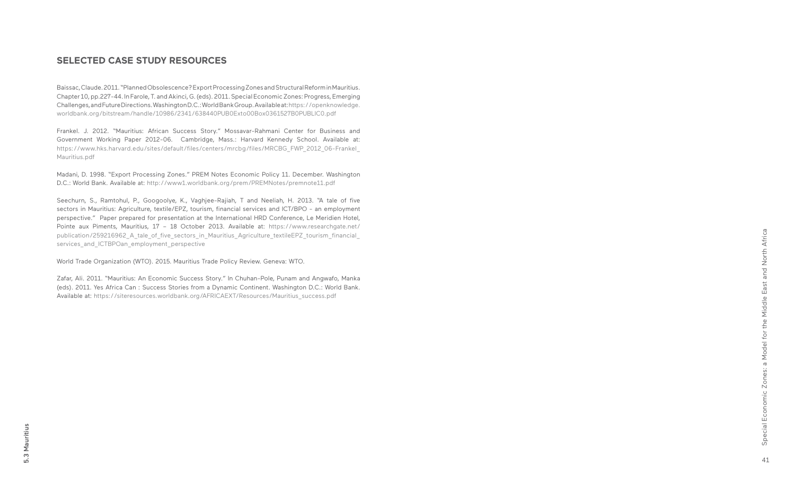41Special Economic Zones: a Model for the Middle East and North Africa Special Economic Zones: a Model for the Middle East and North Africa

### **SELECTED CASE STUDY RESOURCES**

Baissac, Claude. 2011. "Planned Obsolescence? Export Processing Zones and Structural Reform in Mauritius. Chapter 10, pp.227-44. In Farole, T. and Akinci, G. (eds). 2011. Special Economic Zones: Progress, Emerging Challenges, and Future Directions. Washington D.C.: World Bank Group. Available at: https://openknowledge. worldbank.org/bitstream/handle/10986/2341/638440PUB0Exto00Box0361527B0PUBLIC0.pdf

Frankel. J. 2012. "Mauritius: African Success Story." Mossavar-Rahmani Center for Business and Government Working Paper 2012-06. Cambridge, Mass.: Harvard Kennedy School. Available at: https://www.hks.harvard.edu/sites/default/files/centers/mrcbg/files/MRCBG\_FWP\_2012\_06-Frankel\_ Mauritius.pdf

Zafar, Ali. 2011. "Mauritius: An Economic Success Story." In Chuhan-Pole, Punam and Angwafo, Manka (eds). 2011. Yes Africa Can : Success Stories from a Dynamic Continent. Washington D.C.: World Bank. Available at: https://siteresources.worldbank.org/AFRICAEXT/Resources/Mauritius\_success.pdf

Madani, D. 1998. "Export Processing Zones." PREM Notes Economic Policy 11. December. Washington D.C.: World Bank. Available at: http://www1.worldbank.org/prem/PREMNotes/premnote11.pdf

Seechurn, S., Ramtohul, P., Googoolye, K., Vaghjee-Rajiah, T and Neeliah, H. 2013. "A tale of five sectors in Mauritius: Agriculture, textile/EPZ, tourism, financial services and ICT/BPO - an employment perspective." Paper prepared for presentation at the International HRD Conference, Le Meridien Hotel, Pointe aux Piments, Mauritius, 17 - 18 October 2013. Available at: https://www.researchgate.net/ publication/259216962 A tale of five sectors in Mauritius Agriculture textileEPZ tourism financial services\_and\_ICTBPOan\_employment\_perspective

World Trade Organization (WTO). 2015. Mauritius Trade Policy Review. Geneva: WTO.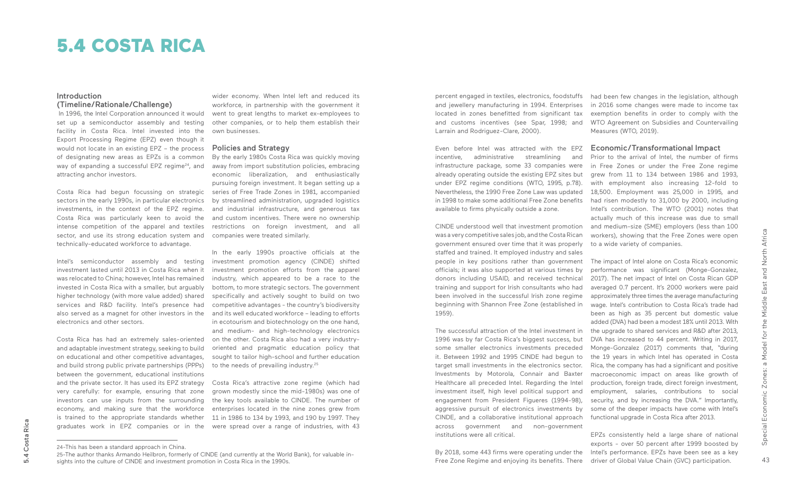### **Introduction** (Timeline/Rationale/Challenge)

 In 1996, the Intel Corporation announced it would set up a semiconductor assembly and testing facility in Costa Rica. Intel invested into the Export Processing Regime (EPZ) even though it would not locate in an existing EPZ – the process of designating new areas as EPZs is a common way of expanding a successful EPZ regime<sup>24</sup>, and attracting anchor investors.

Costa Rica had begun focussing on strategic sectors in the early 1990s, in particular electronics investments, in the context of the EPZ regime. Costa Rica was particularly keen to avoid the intense competition of the apparel and textiles sector, and use its strong education system and companies were treated similarly. technically-educated workforce to advantage.

Intel's semiconductor assembly and testing investment lasted until 2013 in Costa Rica when it was relocated to China; however, Intel has remained invested in Costa Rica with a smaller, but arguably higher technology (with more value added) shared services and R&D facility. Intel's presence had also served as a magnet for other investors in the electronics and other sectors.

In the early 1990s proactive officials at the investment promotion agency (CINDE) shifted investment promotion efforts from the apparel industry, which appeared to be a race to the bottom, to more strategic sectors. The government specifically and actively sought to build on two competitive advantages - the country's biodiversity and its well educated workforce – leading to efforts in ecotourism and biotechnology on the one hand, and medium- and high-technology electronics on the other. Costa Rica also had a very industryoriented and pragmatic education policy that sought to tailor high-school and further education to the needs of prevailing industry.<sup>25</sup>

Costa Rica has had an extremely sales-oriented and adaptable investment strategy, seeking to build on educational and other competitive advantages, and build strong public private partnerships (PPPs) between the government, educational institutions and the private sector. It has used its EPZ strategy very carefully: for example, ensuring that zone investors can use inputs from the surrounding economy, and making sure that the workforce is trained to the appropriate standards whether graduates work in EPZ companies or in the

wider economy. When Intel left and reduced its workforce, in partnership with the government it went to great lengths to market ex-employees to other companies, or to help them establish their own businesses.

### Policies and Strategy

By the early 1980s Costa Rica was quickly moving away from import substitution policies, embracing economic liberalization, and enthusiastically pursuing foreign investment. It began setting up a series of Free Trade Zones in 1981, accompanied by streamlined administration, upgraded logistics and industrial infrastructure, and generous tax and custom incentives. There were no ownership restrictions on foreign investment, and all

Costa Rica's attractive zone regime (which had grown modestly since the mid-1980s) was one of the key tools available to CINDE. The number of enterprises located in the nine zones grew from 11 in 1986 to 134 by 1993, and 190 by 1997. They were spread over a range of industries, with 43

## 5.4 COSTA RICA

had been few changes in the legislation, although in 2016 some changes were made to income tax exemption benefits in order to comply with the WTO Agreement on Subsidies and Countervailing Measures (WTO, 2019).

### Economic/Transformational Impact

Prior to the arrival of Intel, the number of firms in Free Zones or under the Free Zone regime grew from 11 to 134 between 1986 and 1993, with employment also increasing 12-fold to 18,500. Employment was 25,000 in 1995, and had risen modestly to 31,000 by 2000, including Intel's contribution. The WTO (2001) notes that actually much of this increase was due to small and medium-size (SME) employers (less than 100 workers), showing that the Free Zones were open to a wide variety of companies.

The impact of Intel alone on Costa Rica's economic performance was significant (Monge-Gonzalez, 2017). The net impact of Intel on Costa Rican GDP averaged 0.7 percent. It's 2000 workers were paid approximately three times the average manufacturing wage. Intel's contribution to Costa Rica's trade had been as high as 35 percent but domestic value added (DVA) had been a modest 18% until 2013. With the upgrade to shared services and R&D after 2013, DVA has increased to 44 percent. Writing in 2017, Monge-Gonzalez (2017) comments that, "during the 19 years in which Intel has operated in Costa Rica, the company has had a significant and positive macroeconomic impact on areas like growth of production, foreign trade, direct foreign investment, employment, salaries, contributions to social security, and by increasing the DVA." Importantly, some of the deeper impacts have come with Intel's functional upgrade in Costa Rica after 2013.

EPZs consistently held a large share of national exports - over 50 percent after 1999 boosted by Intel's performance. EPZs have been see as a key driver of Global Value Chain (GVC) participation.

percent engaged in textiles, electronics, foodstuffs and jewellery manufacturing in 1994. Enterprises located in zones benefitted from significant tax and customs incentives (see Spar, 1998; and Larrain and Rodriguez-Clare, 2000).

Even before Intel was attracted with the EPZ incentive, administrative streamlining and infrastructure package, some 33 companies were already operating outside the existing EPZ sites but under EPZ regime conditions (WTO, 1995, p.78). Nevertheless, the 1990 Free Zone Law was updated in 1998 to make some additional Free Zone benefits available to firms physically outside a zone.

CINDE understood well that investment promotion was a very competitive sales job, and the Costa Rican government ensured over time that it was properly staffed and trained. It employed industry and sales people in key positions rather than government officials; it was also supported at various times by donors including USAID, and received technical training and support for Irish consultants who had been involved in the successful Irish zone regime beginning with Shannon Free Zone (established in 1959).

The successful attraction of the Intel investment in 1996 was by far Costa Rica's biggest success, but some smaller electronics investments preceded it. Between 1992 and 1995 CINDE had begun to target small investments in the electronics sector. Investments by Motorola, Connair and Baxter Healthcare all preceded Intel. Regarding the Intel investment itself, high level political support and engagement from President Figueres (1994-98), aggressive pursuit of electronics investments by CINDE, and a collaborative institutional approach across government and non-government institutions were all critical.

By 2018, some 443 firms were operating under the Free Zone Regime and enjoying its benefits. There

<sup>24-</sup>This has been a standard approach in China.

<sup>25-</sup>The author thanks Armando Heilbron, formerly of CINDE (and currently at the World Bank), for valuable insights into the culture of CINDE and investment promotion in Costa Rica in the 1990s.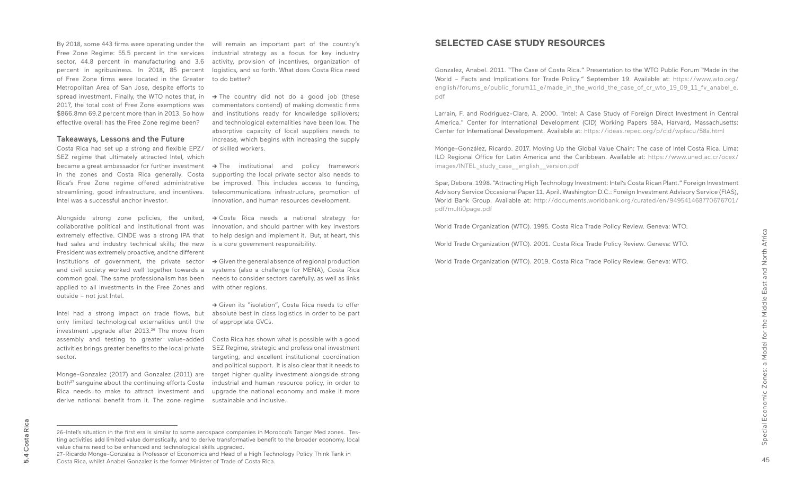By 2018, some 443 firms were operating under the will remain an important part of the country's Free Zone Regime: 55.5 percent in the services sector, 44.8 percent in manufacturing and 3.6 percent in agribusiness. In 2018, 85 percent logistics, and so forth. What does Costa Rica need of Free Zone firms were located in the Greater Metropolitan Area of San Jose, despite efforts to spread investment. Finally, the WTO notes that, in **->** The country did not do a good job (these 2017, the total cost of Free Zone exemptions was \$866.8mn 69.2 percent more than in 2013. So how effective overall has the Free Zone regime been?

### Takeaways, Lessons and the Future

Costa Rica had set up a strong and flexible EPZ/ SEZ regime that ultimately attracted Intel, which in the zones and Costa Rica generally. Costa Rica's Free Zone regime offered administrative streamlining, good infrastructure, and incentives. Intel was a successful anchor investor.

Alongside strong zone policies, the united, **->** Costa Rica needs a national strategy for collaborative political and institutional front was extremely effective. CINDE was a strong IPA that had sales and industry technical skills; the new is a core government responsibility. President was extremely proactive, and the different institutions of government, the private sector and civil society worked well together towards a common goal. The same professionalism has been applied to all investments in the Free Zones and outside – not just Intel.

→ Given the general absence of regional production systems (also a challenge for MENA), Costa Rica needs to consider sectors carefully, as well as links with other regions.

only limited technological externalities until the investment upgrade after 2013.<sup>26</sup> The move from activities brings greater benefits to the local private sector.

became a great ambassador for further investment **->** The institutional and policy framework supporting the local private sector also needs to be improved. This includes access to funding, telecommunications infrastructure, promotion of innovation, and human resources development.

industrial strategy as a focus for key industry activity, provision of incentives, organization of to do better?

commentators contend) of making domestic firms and institutions ready for knowledge spillovers; and technological externalities have been low. The absorptive capacity of local suppliers needs to increase, which begins with increasing the supply of skilled workers.

Intel had a strong impact on trade flows, but absolute best in class logistics in order to be part **->** Given its "isolation", Costa Rica needs to offer of appropriate GVCs.

assembly and testing to greater value-added Costa Rica has shown what is possible with a good SEZ Regime, strategic and professional investment targeting, and excellent institutional coordination and political support. It is also clear that it needs to target higher quality investment alongside strong industrial and human resource policy, in order to upgrade the national economy and make it more

Monge-Gonzalez (2017) and Gonzalez (2011) are both<sup>27</sup> sanguine about the continuing efforts Costa Rica needs to make to attract investment and derive national benefit from it. The zone regime sustainable and inclusive.

innovation, and should partner with key investors to help design and implement it. But, at heart, this

- 
- 
- 

### **SELECTED CASE STUDY RESOURCES**

Gonzalez, Anabel. 2011. "The Case of Costa Rica." Presentation to the WTO Public Forum "Made in the World – Facts and Implications for Trade Policy." September 19. Available at: https://www.wto.org/ english/forums\_e/public\_forum11\_e/made\_in\_the\_world\_the\_case\_of\_cr\_wto\_19\_09\_11\_fv\_anabel\_e. pdf

Larrain, F. and Rodriguez-Clare, A. 2000. "Intel: A Case Study of Foreign Direct Investment in Central America." Center for International Development (CID) Working Papers 58A, Harvard, Massachusetts: Center for International Development. Available at: https://ideas.repec.org/p/cid/wpfacu/58a.html

Monge-González, Ricardo. 2017. Moving Up the Global Value Chain: The case of Intel Costa Rica. Lima: ILO Regional Office for Latin America and the Caribbean. Available at: https://www.uned.ac.cr/ocex/ images/INTEL\_study\_case\_\_english\_\_version.pdf

Spar, Debora. 1998. "Attracting High Technology Investment: Intel's Costa Rican Plant." Foreign Investment Advisory Service Occasional Paper 11. April. Washington D.C.: Foreign Investment Advisory Service (FIAS), World Bank Group. Available at: http://documents.worldbank.org/curated/en/949541468770676701/ pdf/multi0page.pdf

World Trade Organization (WTO). 1995. Costa Rica Trade Policy Review. Geneva: WTO.

World Trade Organization (WTO). 2001. Costa Rica Trade Policy Review. Geneva: WTO.

World Trade Organization (WTO). 2019. Costa Rica Trade Policy Review. Geneva: WTO.

<sup>26-</sup>Intel's situation in the first era is similar to some aerospace companies in Morocco's Tanger Med zones. Testing activities add limited value domestically, and to derive transformative benefit to the broader economy, local value chains need to be enhanced and technological skills upgraded.

<sup>27-</sup>Ricardo Monge-Gonzalez is Professor of Economics and Head of a High Technology Policy Think Tank in Costa Rica, whilst Anabel Gonzalez is the former Minister of Trade of Costa Rica.